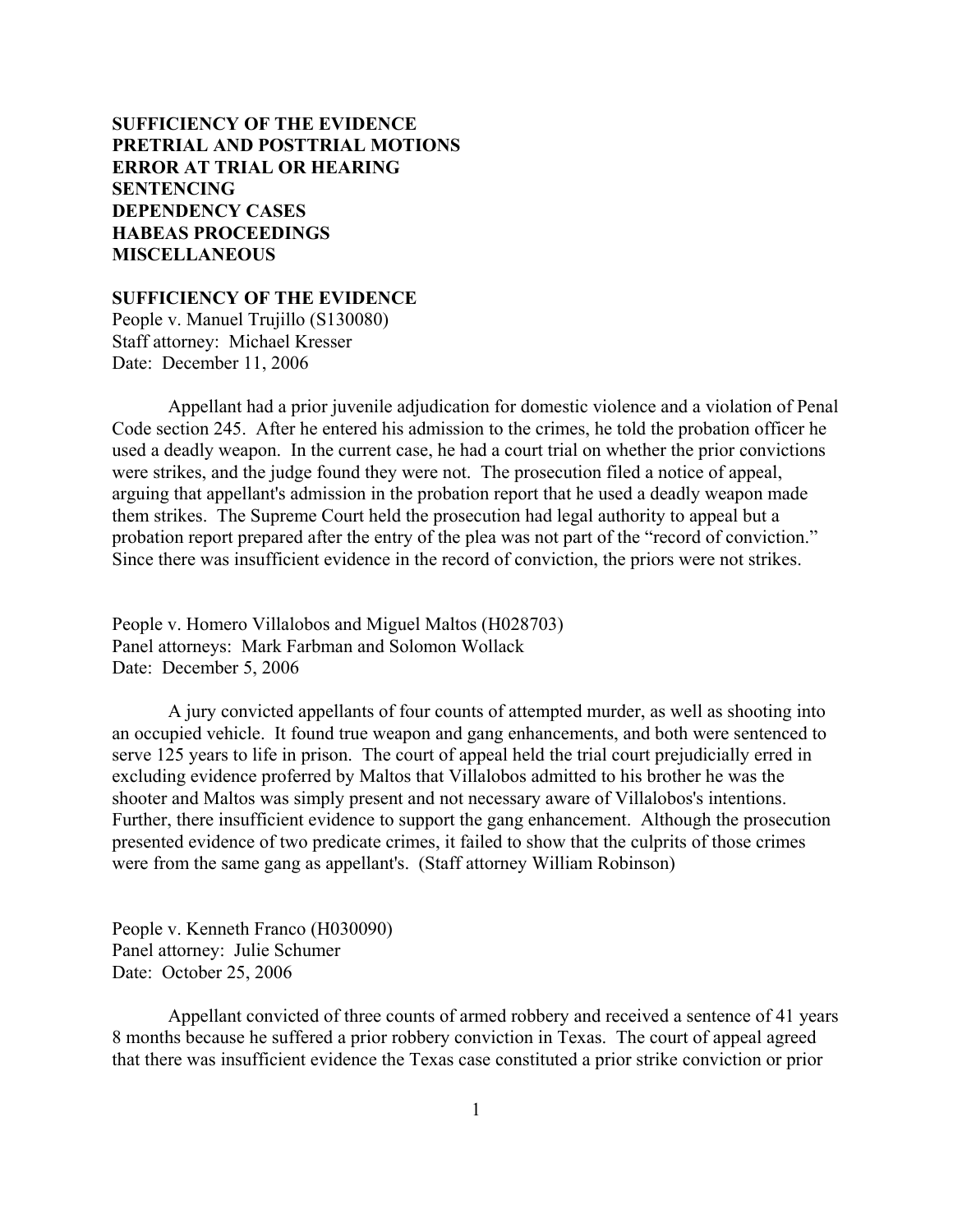# **SUFFICIENCY OF THE EVIDENCE [PRETRIAL AND POSTTRIAL MOTIONS](#page-2-0) [ERROR AT TRIAL OR HEARING](#page-5-0) [SENTENCING](#page-12-0) [DEPENDENCY CASES](#page-25-0) [HABEAS PROCEEDINGS](#page-27-0) [MISCELLANEOUS](#page-28-0)**

**SUFFICIENCY OF THE EVIDENCE**

People v. Manuel Trujillo (S130080) Staff attorney: Michael Kresser Date: December 11, 2006

Appellant had a prior juvenile adjudication for domestic violence and a violation of Penal Code section 245. After he entered his admission to the crimes, he told the probation officer he used a deadly weapon. In the current case, he had a court trial on whether the prior convictions were strikes, and the judge found they were not. The prosecution filed a notice of appeal, arguing that appellant's admission in the probation report that he used a deadly weapon made them strikes. The Supreme Court held the prosecution had legal authority to appeal but a probation report prepared after the entry of the plea was not part of the "record of conviction." Since there was insufficient evidence in the record of conviction, the priors were not strikes.

People v. Homero Villalobos and Miguel Maltos (H028703) Panel attorneys: Mark Farbman and Solomon Wollack Date: December 5, 2006

A jury convicted appellants of four counts of attempted murder, as well as shooting into an occupied vehicle. It found true weapon and gang enhancements, and both were sentenced to serve 125 years to life in prison. The court of appeal held the trial court prejudicially erred in excluding evidence proferred by Maltos that Villalobos admitted to his brother he was the shooter and Maltos was simply present and not necessary aware of Villalobos's intentions. Further, there insufficient evidence to support the gang enhancement. Although the prosecution presented evidence of two predicate crimes, it failed to show that the culprits of those crimes were from the same gang as appellant's. (Staff attorney William Robinson)

People v. Kenneth Franco (H030090) Panel attorney: Julie Schumer Date: October 25, 2006

Appellant convicted of three counts of armed robbery and received a sentence of 41 years 8 months because he suffered a prior robbery conviction in Texas. The court of appeal agreed that there was insufficient evidence the Texas case constituted a prior strike conviction or prior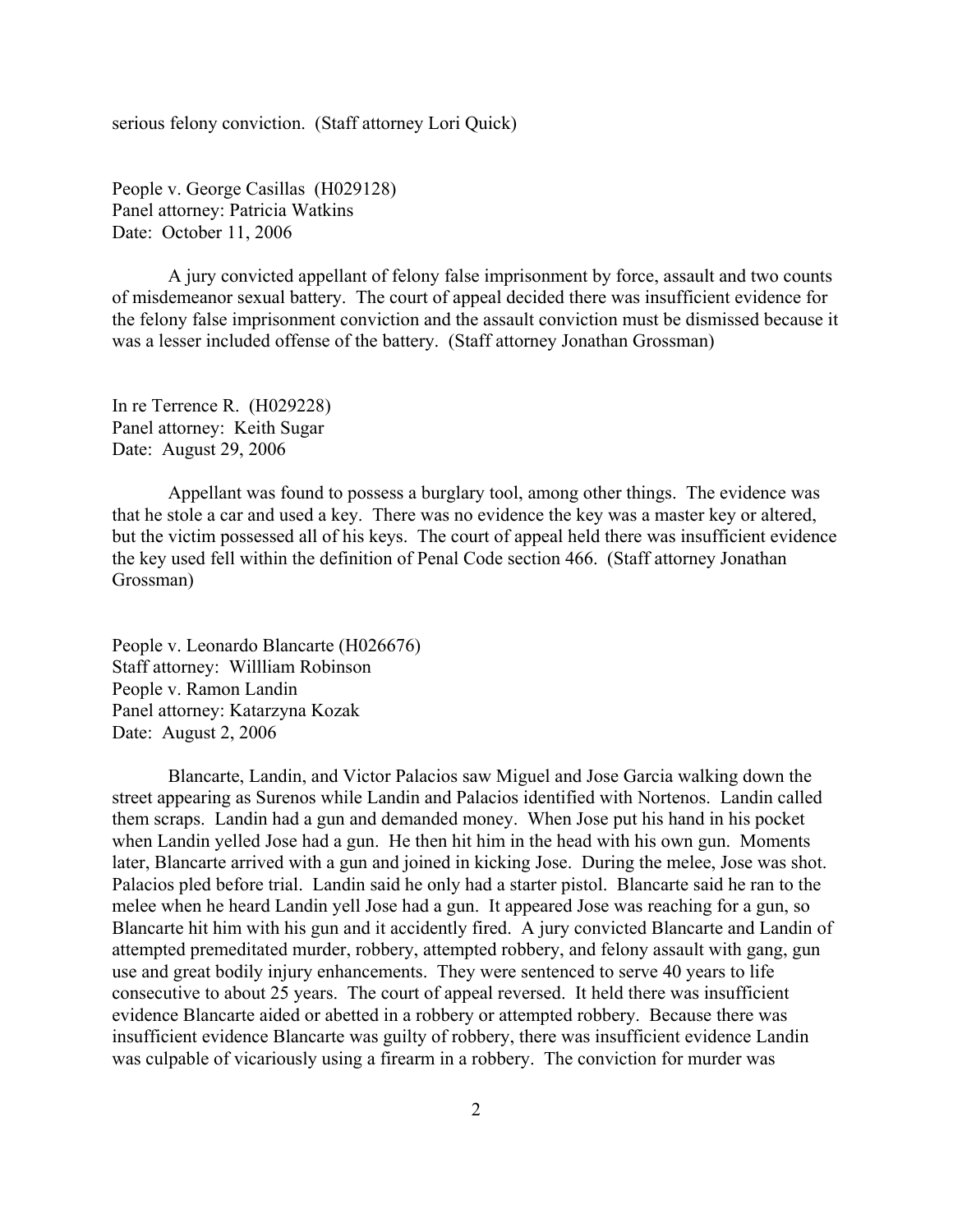serious felony conviction. (Staff attorney Lori Quick)

People v. George Casillas (H029128) Panel attorney: Patricia Watkins Date: October 11, 2006

A jury convicted appellant of felony false imprisonment by force, assault and two counts of misdemeanor sexual battery. The court of appeal decided there was insufficient evidence for the felony false imprisonment conviction and the assault conviction must be dismissed because it was a lesser included offense of the battery. (Staff attorney Jonathan Grossman)

In re Terrence R. (H029228) Panel attorney: Keith Sugar Date: August 29, 2006

Appellant was found to possess a burglary tool, among other things. The evidence was that he stole a car and used a key. There was no evidence the key was a master key or altered, but the victim possessed all of his keys. The court of appeal held there was insufficient evidence the key used fell within the definition of Penal Code section 466. (Staff attorney Jonathan Grossman)

People v. Leonardo Blancarte (H026676) Staff attorney: Willliam Robinson People v. Ramon Landin Panel attorney: Katarzyna Kozak Date: August 2, 2006

Blancarte, Landin, and Victor Palacios saw Miguel and Jose Garcia walking down the street appearing as Surenos while Landin and Palacios identified with Nortenos. Landin called them scraps. Landin had a gun and demanded money. When Jose put his hand in his pocket when Landin yelled Jose had a gun. He then hit him in the head with his own gun. Moments later, Blancarte arrived with a gun and joined in kicking Jose. During the melee, Jose was shot. Palacios pled before trial. Landin said he only had a starter pistol. Blancarte said he ran to the melee when he heard Landin yell Jose had a gun. It appeared Jose was reaching for a gun, so Blancarte hit him with his gun and it accidently fired. A jury convicted Blancarte and Landin of attempted premeditated murder, robbery, attempted robbery, and felony assault with gang, gun use and great bodily injury enhancements. They were sentenced to serve 40 years to life consecutive to about 25 years. The court of appeal reversed. It held there was insufficient evidence Blancarte aided or abetted in a robbery or attempted robbery. Because there was insufficient evidence Blancarte was guilty of robbery, there was insufficient evidence Landin was culpable of vicariously using a firearm in a robbery. The conviction for murder was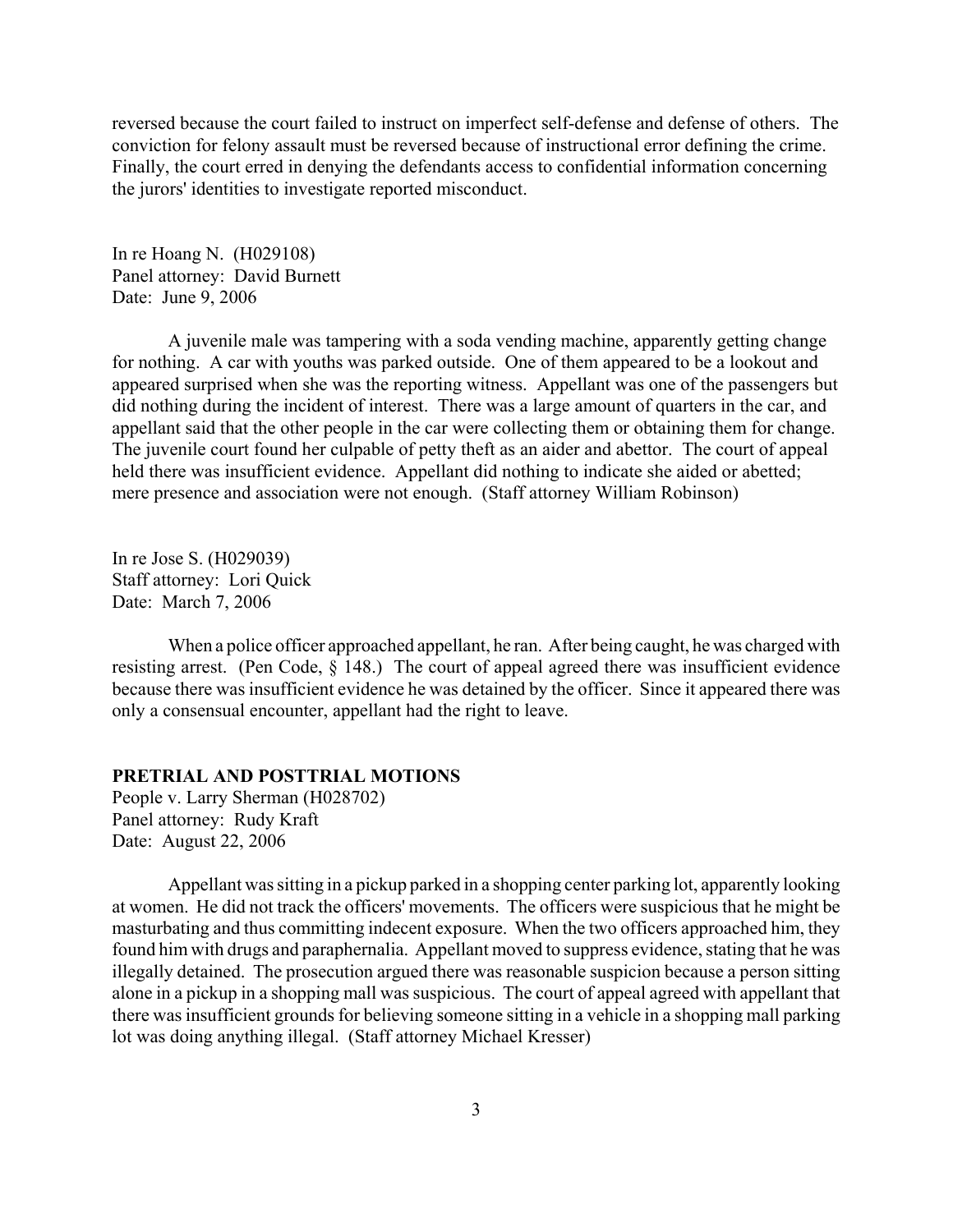<span id="page-2-0"></span>reversed because the court failed to instruct on imperfect self-defense and defense of others. The conviction for felony assault must be reversed because of instructional error defining the crime. Finally, the court erred in denying the defendants access to confidential information concerning the jurors' identities to investigate reported misconduct.

In re Hoang N. (H029108) Panel attorney: David Burnett Date: June 9, 2006

A juvenile male was tampering with a soda vending machine, apparently getting change for nothing. A car with youths was parked outside. One of them appeared to be a lookout and appeared surprised when she was the reporting witness. Appellant was one of the passengers but did nothing during the incident of interest. There was a large amount of quarters in the car, and appellant said that the other people in the car were collecting them or obtaining them for change. The juvenile court found her culpable of petty theft as an aider and abettor. The court of appeal held there was insufficient evidence. Appellant did nothing to indicate she aided or abetted; mere presence and association were not enough. (Staff attorney William Robinson)

In re Jose S. (H029039) Staff attorney: Lori Quick Date: March 7, 2006

When a police officer approached appellant, he ran. After being caught, he was charged with resisting arrest. (Pen Code, § 148.) The court of appeal agreed there was insufficient evidence because there was insufficient evidence he was detained by the officer. Since it appeared there was only a consensual encounter, appellant had the right to leave.

#### **PRETRIAL AND POSTTRIAL MOTIONS**

People v. Larry Sherman (H028702) Panel attorney: Rudy Kraft Date: August 22, 2006

Appellant was sitting in a pickup parked in a shopping center parking lot, apparently looking at women. He did not track the officers' movements. The officers were suspicious that he might be masturbating and thus committing indecent exposure. When the two officers approached him, they found him with drugs and paraphernalia. Appellant moved to suppress evidence, stating that he was illegally detained. The prosecution argued there was reasonable suspicion because a person sitting alone in a pickup in a shopping mall was suspicious. The court of appeal agreed with appellant that there was insufficient grounds for believing someone sitting in a vehicle in a shopping mall parking lot was doing anything illegal. (Staff attorney Michael Kresser)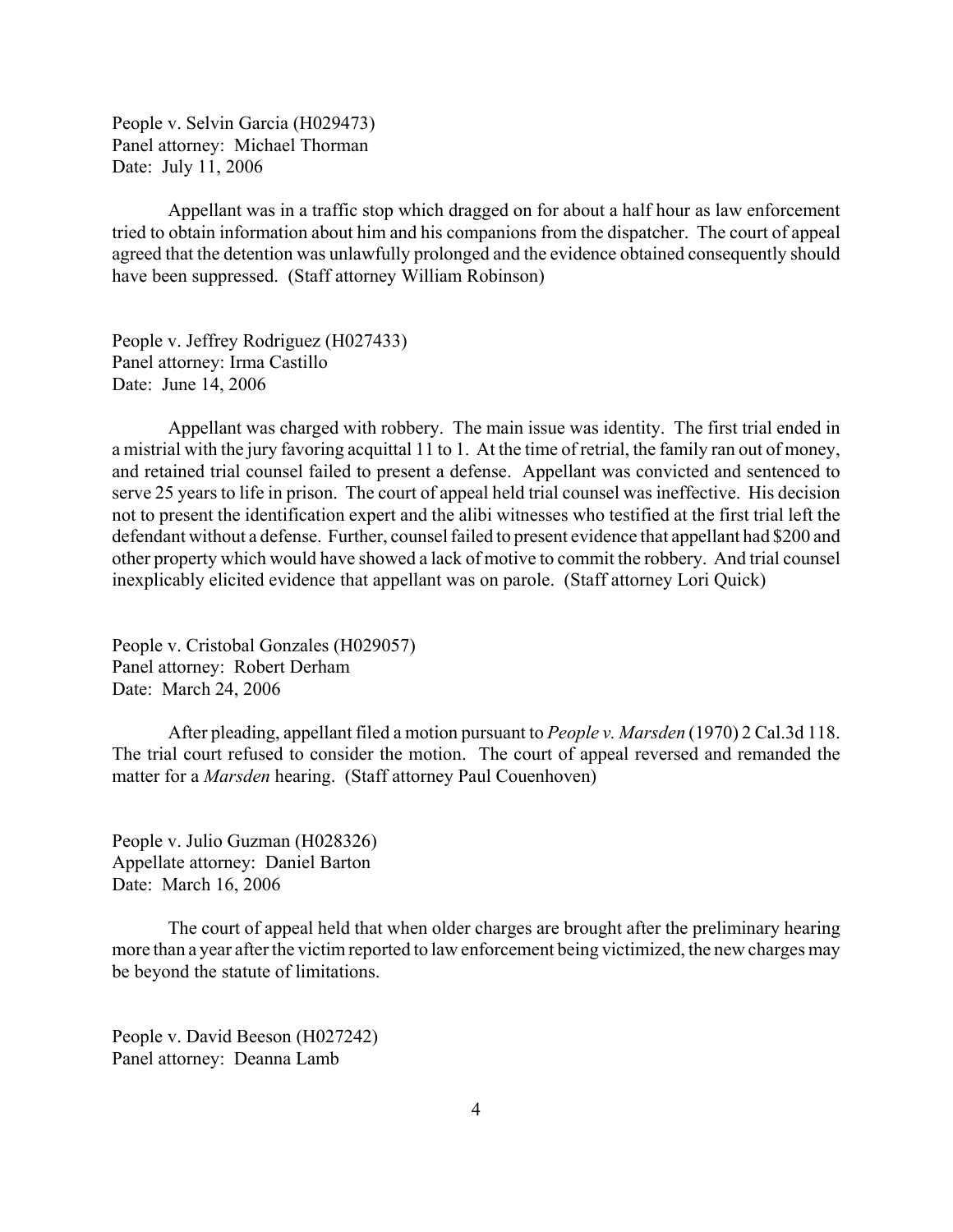People v. Selvin Garcia (H029473) Panel attorney: Michael Thorman Date: July 11, 2006

Appellant was in a traffic stop which dragged on for about a half hour as law enforcement tried to obtain information about him and his companions from the dispatcher. The court of appeal agreed that the detention was unlawfully prolonged and the evidence obtained consequently should have been suppressed. (Staff attorney William Robinson)

People v. Jeffrey Rodriguez (H027433) Panel attorney: Irma Castillo Date: June 14, 2006

Appellant was charged with robbery. The main issue was identity. The first trial ended in a mistrial with the jury favoring acquittal 11 to 1. At the time of retrial, the family ran out of money, and retained trial counsel failed to present a defense. Appellant was convicted and sentenced to serve 25 years to life in prison. The court of appeal held trial counsel was ineffective. His decision not to present the identification expert and the alibi witnesses who testified at the first trial left the defendant without a defense. Further, counsel failed to present evidence that appellant had \$200 and other property which would have showed a lack of motive to commit the robbery. And trial counsel inexplicably elicited evidence that appellant was on parole. (Staff attorney Lori Quick)

People v. Cristobal Gonzales (H029057) Panel attorney: Robert Derham Date: March 24, 2006

After pleading, appellant filed a motion pursuant to *People v. Marsden* (1970) 2 Cal.3d 118. The trial court refused to consider the motion. The court of appeal reversed and remanded the matter for a *Marsden* hearing. (Staff attorney Paul Couenhoven)

People v. Julio Guzman (H028326) Appellate attorney: Daniel Barton Date: March 16, 2006

The court of appeal held that when older charges are brought after the preliminary hearing more than a year after the victim reported to law enforcement being victimized, the new charges may be beyond the statute of limitations.

People v. David Beeson (H027242) Panel attorney: Deanna Lamb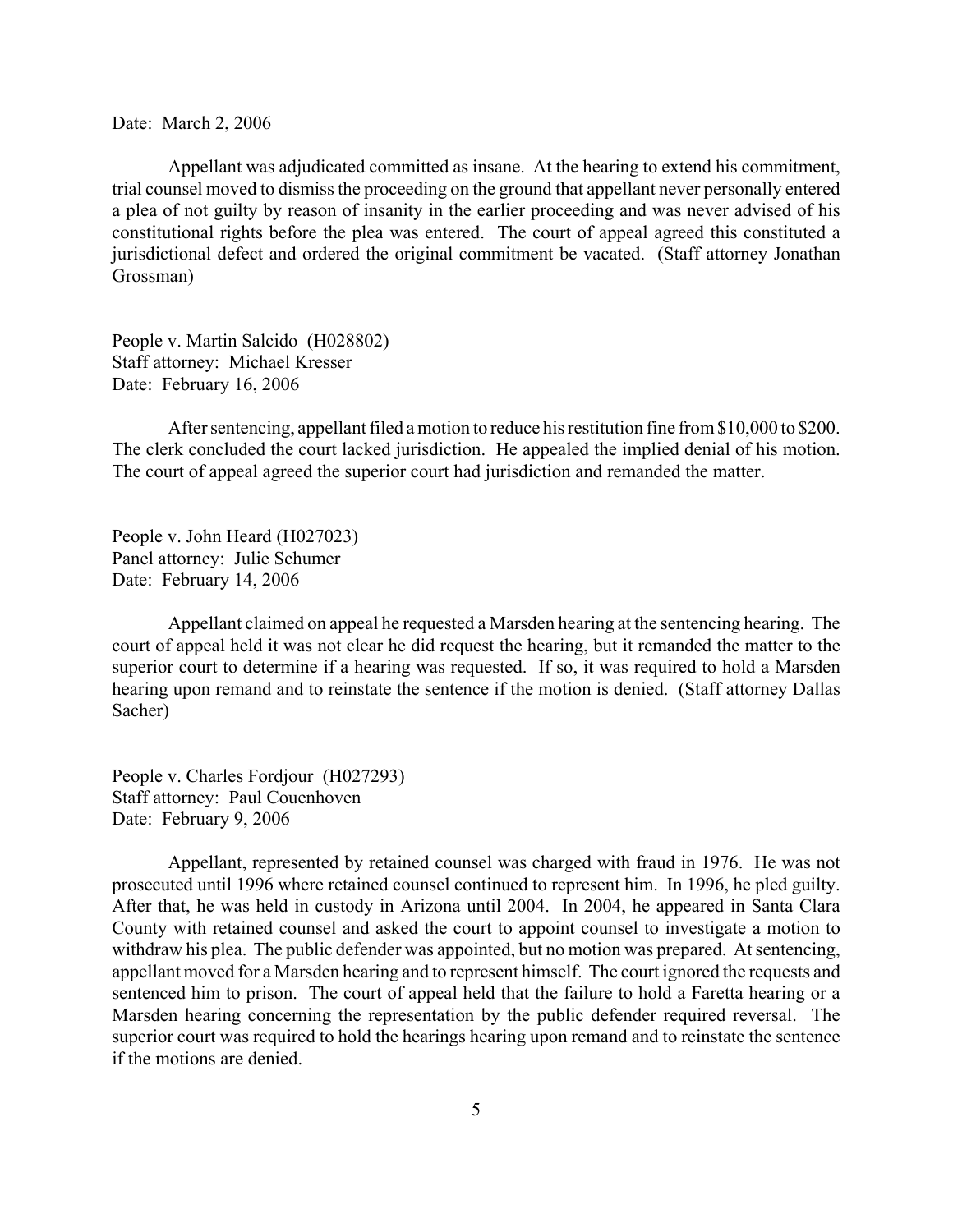Date: March 2, 2006

Appellant was adjudicated committed as insane. At the hearing to extend his commitment, trial counsel moved to dismiss the proceeding on the ground that appellant never personally entered a plea of not guilty by reason of insanity in the earlier proceeding and was never advised of his constitutional rights before the plea was entered. The court of appeal agreed this constituted a jurisdictional defect and ordered the original commitment be vacated. (Staff attorney Jonathan Grossman)

People v. Martin Salcido (H028802) Staff attorney: Michael Kresser Date: February 16, 2006

After sentencing, appellant filed a motion to reduce his restitution fine from \$10,000 to \$200. The clerk concluded the court lacked jurisdiction. He appealed the implied denial of his motion. The court of appeal agreed the superior court had jurisdiction and remanded the matter.

People v. John Heard (H027023) Panel attorney: Julie Schumer Date: February 14, 2006

Appellant claimed on appeal he requested a Marsden hearing at the sentencing hearing. The court of appeal held it was not clear he did request the hearing, but it remanded the matter to the superior court to determine if a hearing was requested. If so, it was required to hold a Marsden hearing upon remand and to reinstate the sentence if the motion is denied. (Staff attorney Dallas Sacher)

People v. Charles Fordjour (H027293) Staff attorney: Paul Couenhoven Date: February 9, 2006

Appellant, represented by retained counsel was charged with fraud in 1976. He was not prosecuted until 1996 where retained counsel continued to represent him. In 1996, he pled guilty. After that, he was held in custody in Arizona until 2004. In 2004, he appeared in Santa Clara County with retained counsel and asked the court to appoint counsel to investigate a motion to withdraw his plea. The public defender was appointed, but no motion was prepared. At sentencing, appellant moved for a Marsden hearing and to represent himself. The court ignored the requests and sentenced him to prison. The court of appeal held that the failure to hold a Faretta hearing or a Marsden hearing concerning the representation by the public defender required reversal. The superior court was required to hold the hearings hearing upon remand and to reinstate the sentence if the motions are denied.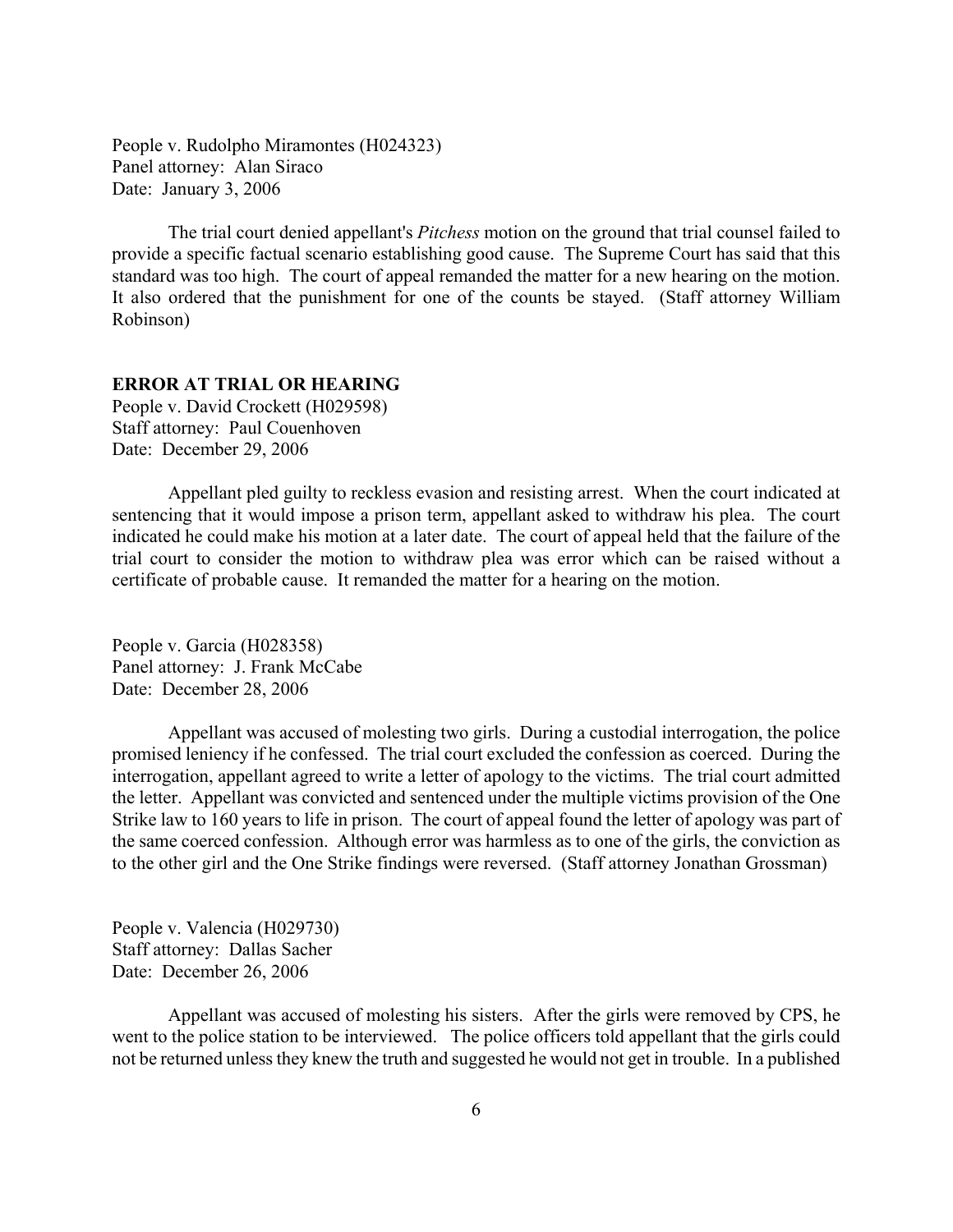<span id="page-5-0"></span>People v. Rudolpho Miramontes (H024323) Panel attorney: Alan Siraco Date: January 3, 2006

The trial court denied appellant's *Pitchess* motion on the ground that trial counsel failed to provide a specific factual scenario establishing good cause. The Supreme Court has said that this standard was too high. The court of appeal remanded the matter for a new hearing on the motion. It also ordered that the punishment for one of the counts be stayed. (Staff attorney William Robinson)

# **ERROR AT TRIAL OR HEARING**

People v. David Crockett (H029598) Staff attorney: Paul Couenhoven Date: December 29, 2006

Appellant pled guilty to reckless evasion and resisting arrest. When the court indicated at sentencing that it would impose a prison term, appellant asked to withdraw his plea. The court indicated he could make his motion at a later date. The court of appeal held that the failure of the trial court to consider the motion to withdraw plea was error which can be raised without a certificate of probable cause. It remanded the matter for a hearing on the motion.

People v. Garcia (H028358) Panel attorney: J. Frank McCabe Date: December 28, 2006

Appellant was accused of molesting two girls. During a custodial interrogation, the police promised leniency if he confessed. The trial court excluded the confession as coerced. During the interrogation, appellant agreed to write a letter of apology to the victims. The trial court admitted the letter. Appellant was convicted and sentenced under the multiple victims provision of the One Strike law to 160 years to life in prison. The court of appeal found the letter of apology was part of the same coerced confession. Although error was harmless as to one of the girls, the conviction as to the other girl and the One Strike findings were reversed. (Staff attorney Jonathan Grossman)

People v. Valencia (H029730) Staff attorney: Dallas Sacher Date: December 26, 2006

Appellant was accused of molesting his sisters. After the girls were removed by CPS, he went to the police station to be interviewed. The police officers told appellant that the girls could not be returned unless they knew the truth and suggested he would not get in trouble. In a published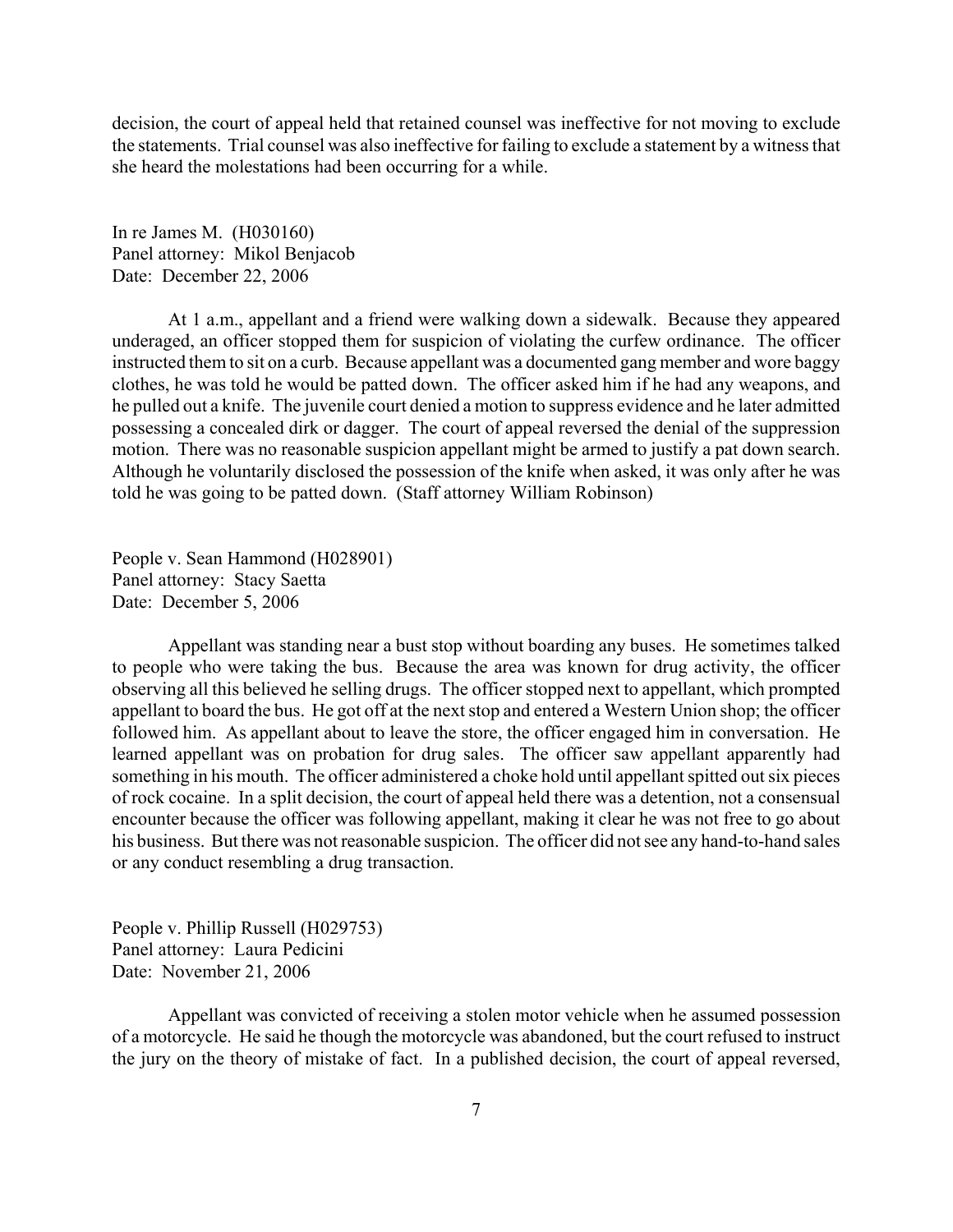decision, the court of appeal held that retained counsel was ineffective for not moving to exclude the statements. Trial counsel was also ineffective for failing to exclude a statement by a witness that she heard the molestations had been occurring for a while.

In re James M. (H030160) Panel attorney: Mikol Benjacob Date: December 22, 2006

At 1 a.m., appellant and a friend were walking down a sidewalk. Because they appeared underaged, an officer stopped them for suspicion of violating the curfew ordinance. The officer instructed them to sit on a curb. Because appellant was a documented gang member and wore baggy clothes, he was told he would be patted down. The officer asked him if he had any weapons, and he pulled out a knife. The juvenile court denied a motion to suppress evidence and he later admitted possessing a concealed dirk or dagger. The court of appeal reversed the denial of the suppression motion. There was no reasonable suspicion appellant might be armed to justify a pat down search. Although he voluntarily disclosed the possession of the knife when asked, it was only after he was told he was going to be patted down. (Staff attorney William Robinson)

People v. Sean Hammond (H028901) Panel attorney: Stacy Saetta Date: December 5, 2006

Appellant was standing near a bust stop without boarding any buses. He sometimes talked to people who were taking the bus. Because the area was known for drug activity, the officer observing all this believed he selling drugs. The officer stopped next to appellant, which prompted appellant to board the bus. He got off at the next stop and entered a Western Union shop; the officer followed him. As appellant about to leave the store, the officer engaged him in conversation. He learned appellant was on probation for drug sales. The officer saw appellant apparently had something in his mouth. The officer administered a choke hold until appellant spitted out six pieces of rock cocaine. In a split decision, the court of appeal held there was a detention, not a consensual encounter because the officer was following appellant, making it clear he was not free to go about his business. But there was not reasonable suspicion. The officer did not see any hand-to-hand sales or any conduct resembling a drug transaction.

People v. Phillip Russell (H029753) Panel attorney: Laura Pedicini Date: November 21, 2006

Appellant was convicted of receiving a stolen motor vehicle when he assumed possession of a motorcycle. He said he though the motorcycle was abandoned, but the court refused to instruct the jury on the theory of mistake of fact. In a published decision, the court of appeal reversed,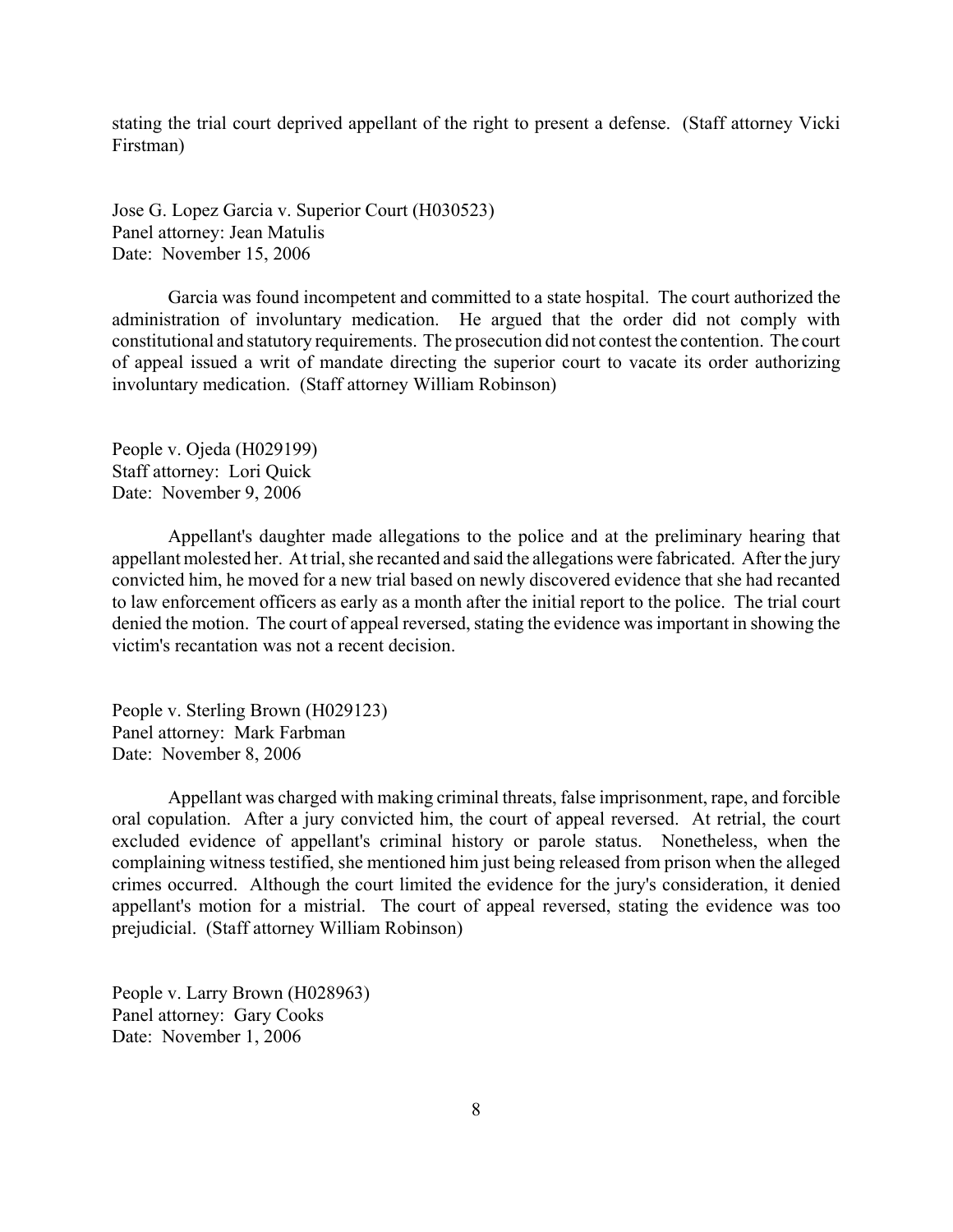stating the trial court deprived appellant of the right to present a defense. (Staff attorney Vicki Firstman)

Jose G. Lopez Garcia v. Superior Court (H030523) Panel attorney: Jean Matulis Date: November 15, 2006

Garcia was found incompetent and committed to a state hospital. The court authorized the administration of involuntary medication. He argued that the order did not comply with constitutional and statutory requirements. The prosecution did not contest the contention. The court of appeal issued a writ of mandate directing the superior court to vacate its order authorizing involuntary medication. (Staff attorney William Robinson)

People v. Ojeda (H029199) Staff attorney: Lori Quick Date: November 9, 2006

Appellant's daughter made allegations to the police and at the preliminary hearing that appellant molested her. At trial, she recanted and said the allegations were fabricated. After the jury convicted him, he moved for a new trial based on newly discovered evidence that she had recanted to law enforcement officers as early as a month after the initial report to the police. The trial court denied the motion. The court of appeal reversed, stating the evidence was important in showing the victim's recantation was not a recent decision.

People v. Sterling Brown (H029123) Panel attorney: Mark Farbman Date: November 8, 2006

Appellant was charged with making criminal threats, false imprisonment, rape, and forcible oral copulation. After a jury convicted him, the court of appeal reversed. At retrial, the court excluded evidence of appellant's criminal history or parole status. Nonetheless, when the complaining witness testified, she mentioned him just being released from prison when the alleged crimes occurred. Although the court limited the evidence for the jury's consideration, it denied appellant's motion for a mistrial. The court of appeal reversed, stating the evidence was too prejudicial. (Staff attorney William Robinson)

People v. Larry Brown (H028963) Panel attorney: Gary Cooks Date: November 1, 2006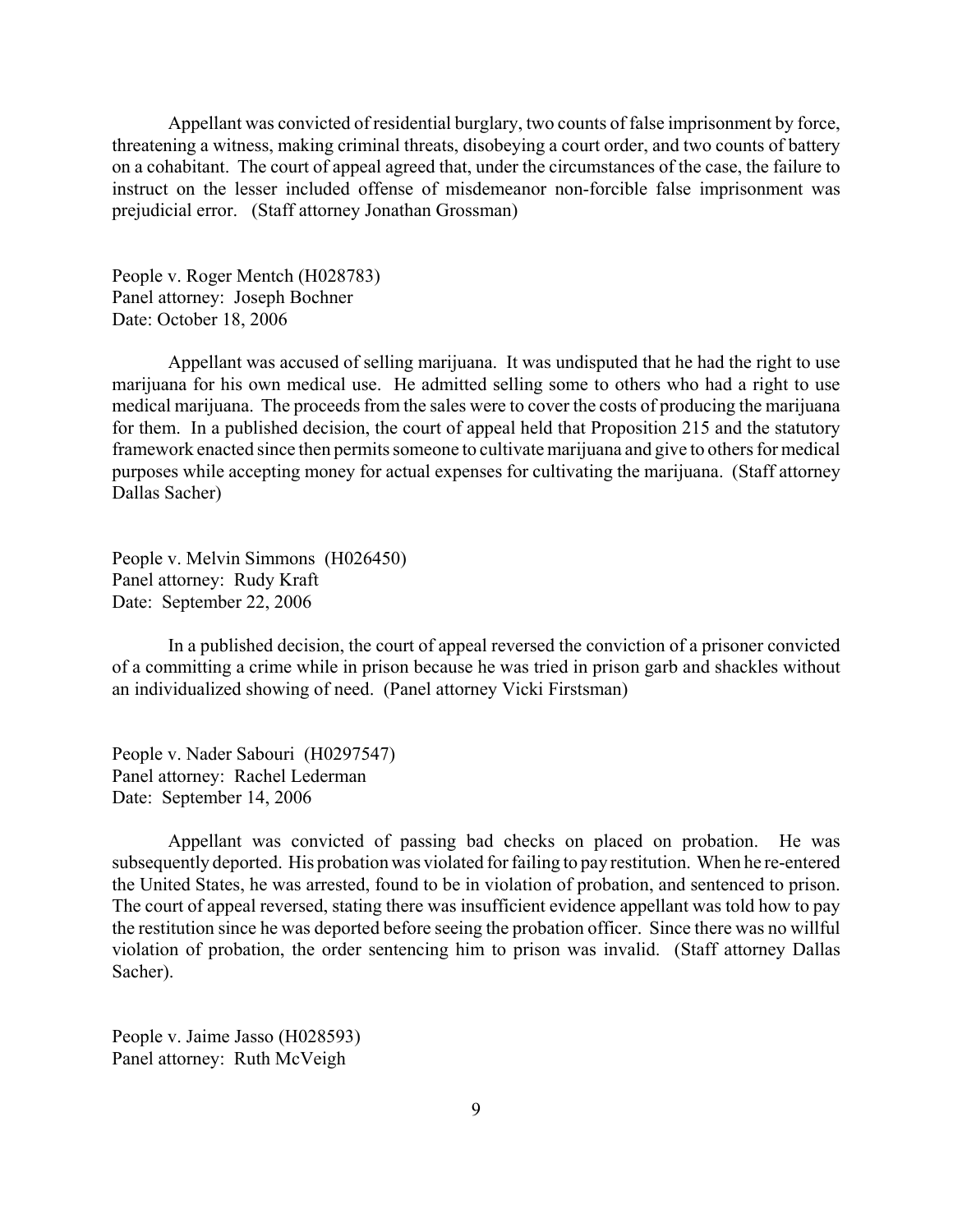Appellant was convicted of residential burglary, two counts of false imprisonment by force, threatening a witness, making criminal threats, disobeying a court order, and two counts of battery on a cohabitant. The court of appeal agreed that, under the circumstances of the case, the failure to instruct on the lesser included offense of misdemeanor non-forcible false imprisonment was prejudicial error. (Staff attorney Jonathan Grossman)

People v. Roger Mentch (H028783) Panel attorney: Joseph Bochner Date: October 18, 2006

Appellant was accused of selling marijuana. It was undisputed that he had the right to use marijuana for his own medical use. He admitted selling some to others who had a right to use medical marijuana. The proceeds from the sales were to cover the costs of producing the marijuana for them. In a published decision, the court of appeal held that Proposition 215 and the statutory framework enacted since then permits someone to cultivate marijuana and give to others for medical purposes while accepting money for actual expenses for cultivating the marijuana. (Staff attorney Dallas Sacher)

People v. Melvin Simmons (H026450) Panel attorney: Rudy Kraft Date: September 22, 2006

In a published decision, the court of appeal reversed the conviction of a prisoner convicted of a committing a crime while in prison because he was tried in prison garb and shackles without an individualized showing of need. (Panel attorney Vicki Firstsman)

People v. Nader Sabouri (H0297547) Panel attorney: Rachel Lederman Date: September 14, 2006

Appellant was convicted of passing bad checks on placed on probation. He was subsequently deported. His probation was violated for failing to pay restitution. When he re-entered the United States, he was arrested, found to be in violation of probation, and sentenced to prison. The court of appeal reversed, stating there was insufficient evidence appellant was told how to pay the restitution since he was deported before seeing the probation officer. Since there was no willful violation of probation, the order sentencing him to prison was invalid. (Staff attorney Dallas Sacher).

People v. Jaime Jasso (H028593) Panel attorney: Ruth McVeigh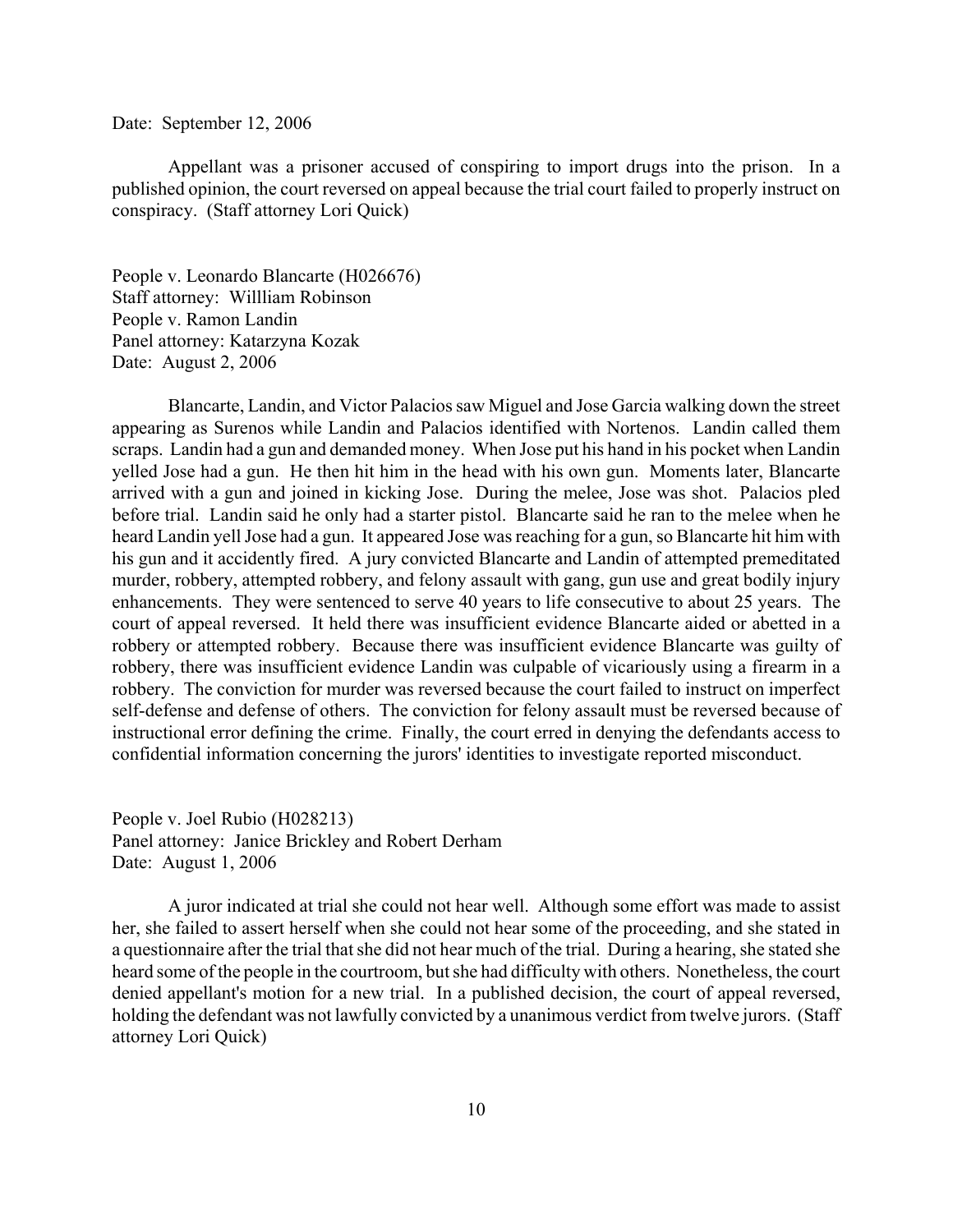#### Date: September 12, 2006

Appellant was a prisoner accused of conspiring to import drugs into the prison. In a published opinion, the court reversed on appeal because the trial court failed to properly instruct on conspiracy. (Staff attorney Lori Quick)

People v. Leonardo Blancarte (H026676) Staff attorney: Willliam Robinson People v. Ramon Landin Panel attorney: Katarzyna Kozak Date: August 2, 2006

Blancarte, Landin, and Victor Palacios saw Miguel and Jose Garcia walking down the street appearing as Surenos while Landin and Palacios identified with Nortenos. Landin called them scraps. Landin had a gun and demanded money. When Jose put his hand in his pocket when Landin yelled Jose had a gun. He then hit him in the head with his own gun. Moments later, Blancarte arrived with a gun and joined in kicking Jose. During the melee, Jose was shot. Palacios pled before trial. Landin said he only had a starter pistol. Blancarte said he ran to the melee when he heard Landin yell Jose had a gun. It appeared Jose was reaching for a gun, so Blancarte hit him with his gun and it accidently fired. A jury convicted Blancarte and Landin of attempted premeditated murder, robbery, attempted robbery, and felony assault with gang, gun use and great bodily injury enhancements. They were sentenced to serve 40 years to life consecutive to about 25 years. The court of appeal reversed. It held there was insufficient evidence Blancarte aided or abetted in a robbery or attempted robbery. Because there was insufficient evidence Blancarte was guilty of robbery, there was insufficient evidence Landin was culpable of vicariously using a firearm in a robbery. The conviction for murder was reversed because the court failed to instruct on imperfect self-defense and defense of others. The conviction for felony assault must be reversed because of instructional error defining the crime. Finally, the court erred in denying the defendants access to confidential information concerning the jurors' identities to investigate reported misconduct.

People v. Joel Rubio (H028213) Panel attorney: Janice Brickley and Robert Derham Date: August 1, 2006

A juror indicated at trial she could not hear well. Although some effort was made to assist her, she failed to assert herself when she could not hear some of the proceeding, and she stated in a questionnaire after the trial that she did not hear much of the trial. During a hearing, she stated she heard some of the people in the courtroom, but she had difficulty with others. Nonetheless, the court denied appellant's motion for a new trial. In a published decision, the court of appeal reversed, holding the defendant was not lawfully convicted by a unanimous verdict from twelve jurors. (Staff attorney Lori Quick)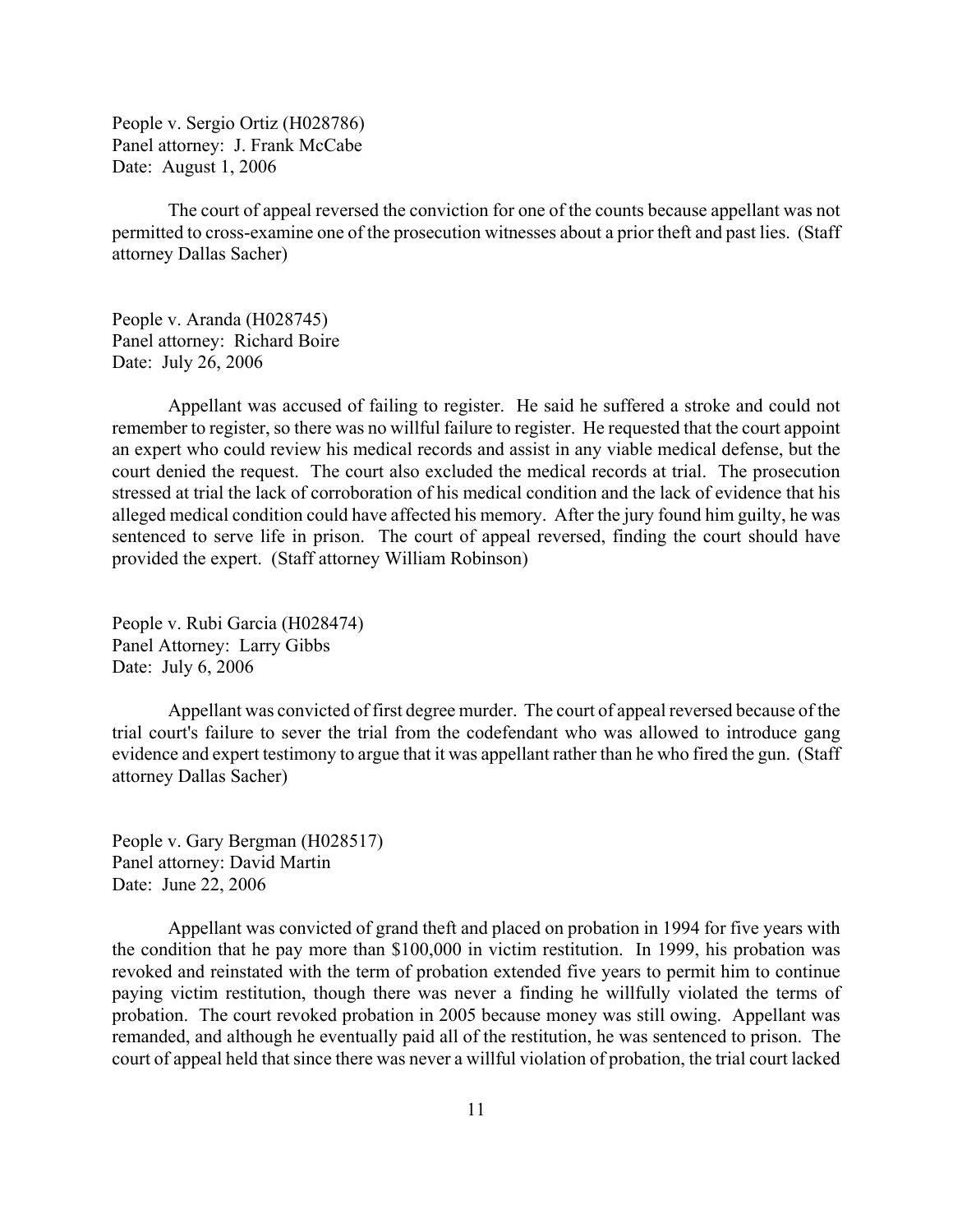People v. Sergio Ortiz (H028786) Panel attorney: J. Frank McCabe Date: August 1, 2006

The court of appeal reversed the conviction for one of the counts because appellant was not permitted to cross-examine one of the prosecution witnesses about a prior theft and past lies. (Staff attorney Dallas Sacher)

People v. Aranda (H028745) Panel attorney: Richard Boire Date: July 26, 2006

Appellant was accused of failing to register. He said he suffered a stroke and could not remember to register, so there was no willful failure to register. He requested that the court appoint an expert who could review his medical records and assist in any viable medical defense, but the court denied the request. The court also excluded the medical records at trial. The prosecution stressed at trial the lack of corroboration of his medical condition and the lack of evidence that his alleged medical condition could have affected his memory. After the jury found him guilty, he was sentenced to serve life in prison. The court of appeal reversed, finding the court should have provided the expert. (Staff attorney William Robinson)

People v. Rubi Garcia (H028474) Panel Attorney: Larry Gibbs Date: July 6, 2006

Appellant was convicted of first degree murder. The court of appeal reversed because of the trial court's failure to sever the trial from the codefendant who was allowed to introduce gang evidence and expert testimony to argue that it was appellant rather than he who fired the gun. (Staff attorney Dallas Sacher)

People v. Gary Bergman (H028517) Panel attorney: David Martin Date: June 22, 2006

Appellant was convicted of grand theft and placed on probation in 1994 for five years with the condition that he pay more than \$100,000 in victim restitution. In 1999, his probation was revoked and reinstated with the term of probation extended five years to permit him to continue paying victim restitution, though there was never a finding he willfully violated the terms of probation. The court revoked probation in 2005 because money was still owing. Appellant was remanded, and although he eventually paid all of the restitution, he was sentenced to prison. The court of appeal held that since there was never a willful violation of probation, the trial court lacked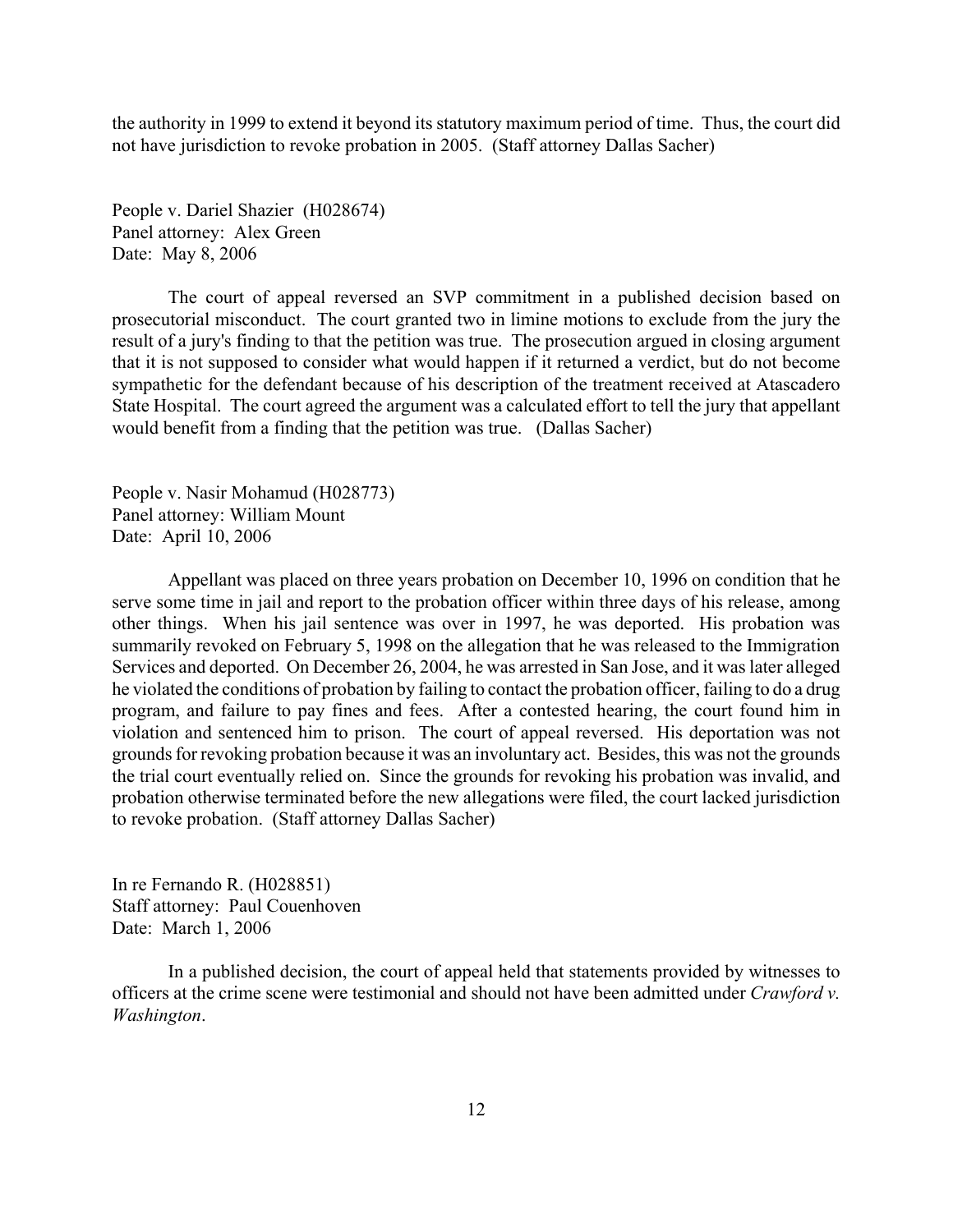the authority in 1999 to extend it beyond its statutory maximum period of time. Thus, the court did not have jurisdiction to revoke probation in 2005. (Staff attorney Dallas Sacher)

People v. Dariel Shazier (H028674) Panel attorney: Alex Green Date: May 8, 2006

The court of appeal reversed an SVP commitment in a published decision based on prosecutorial misconduct. The court granted two in limine motions to exclude from the jury the result of a jury's finding to that the petition was true. The prosecution argued in closing argument that it is not supposed to consider what would happen if it returned a verdict, but do not become sympathetic for the defendant because of his description of the treatment received at Atascadero State Hospital. The court agreed the argument was a calculated effort to tell the jury that appellant would benefit from a finding that the petition was true. (Dallas Sacher)

People v. Nasir Mohamud (H028773) Panel attorney: William Mount Date: April 10, 2006

Appellant was placed on three years probation on December 10, 1996 on condition that he serve some time in jail and report to the probation officer within three days of his release, among other things. When his jail sentence was over in 1997, he was deported. His probation was summarily revoked on February 5, 1998 on the allegation that he was released to the Immigration Services and deported. On December 26, 2004, he was arrested in San Jose, and it was later alleged he violated the conditions of probation by failing to contact the probation officer, failing to do a drug program, and failure to pay fines and fees. After a contested hearing, the court found him in violation and sentenced him to prison. The court of appeal reversed. His deportation was not grounds for revoking probation because it was an involuntary act. Besides, this was not the grounds the trial court eventually relied on. Since the grounds for revoking his probation was invalid, and probation otherwise terminated before the new allegations were filed, the court lacked jurisdiction to revoke probation. (Staff attorney Dallas Sacher)

In re Fernando R. (H028851) Staff attorney: Paul Couenhoven Date: March 1, 2006

In a published decision, the court of appeal held that statements provided by witnesses to officers at the crime scene were testimonial and should not have been admitted under *Crawford v. Washington*.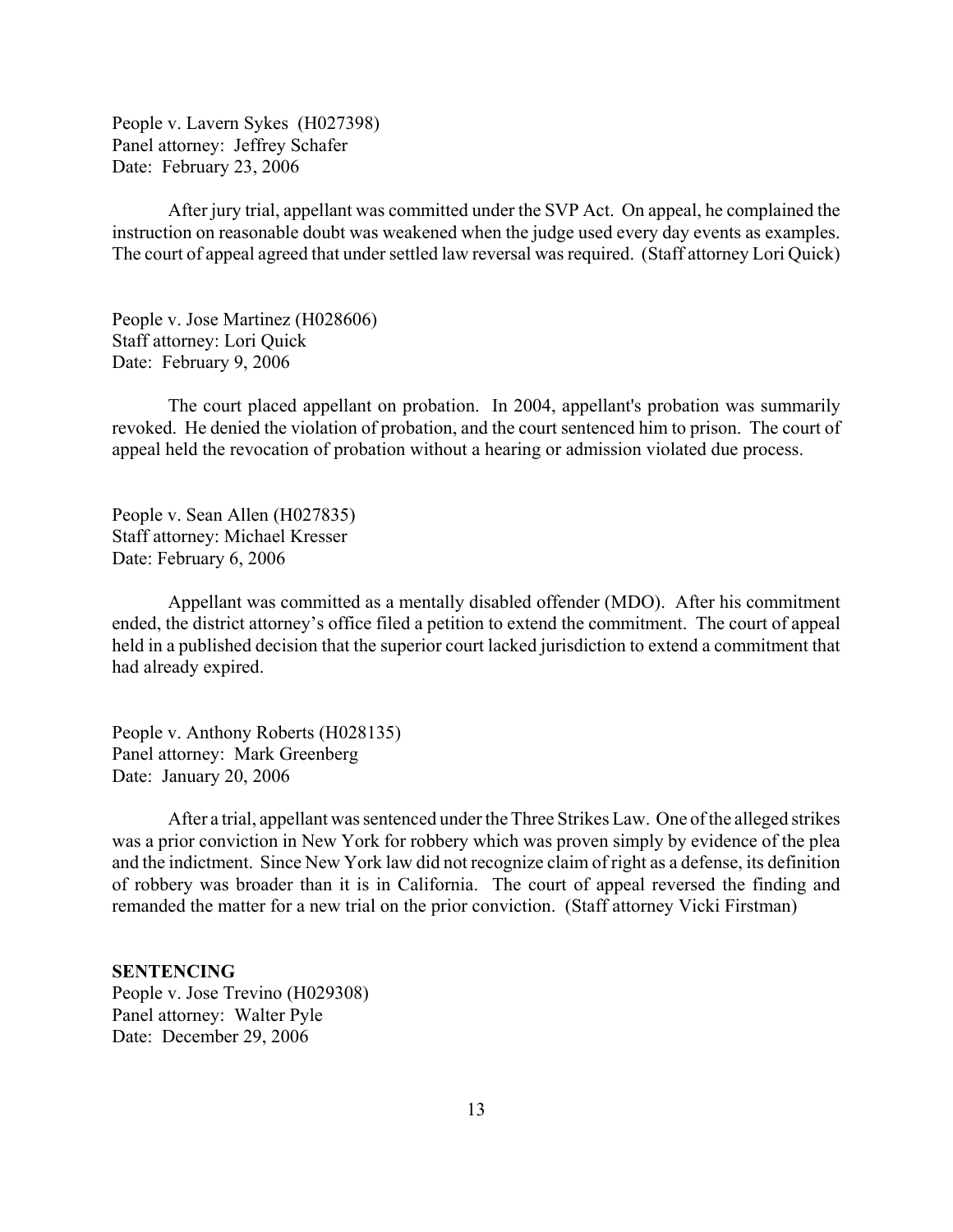<span id="page-12-0"></span>People v. Lavern Sykes (H027398) Panel attorney: Jeffrey Schafer Date: February 23, 2006

After jury trial, appellant was committed under the SVP Act. On appeal, he complained the instruction on reasonable doubt was weakened when the judge used every day events as examples. The court of appeal agreed that under settled law reversal was required. (Staff attorney Lori Quick)

People v. Jose Martinez (H028606) Staff attorney: Lori Quick Date: February 9, 2006

The court placed appellant on probation. In 2004, appellant's probation was summarily revoked. He denied the violation of probation, and the court sentenced him to prison. The court of appeal held the revocation of probation without a hearing or admission violated due process.

People v. Sean Allen (H027835) Staff attorney: Michael Kresser Date: February 6, 2006

Appellant was committed as a mentally disabled offender (MDO). After his commitment ended, the district attorney's office filed a petition to extend the commitment. The court of appeal held in a published decision that the superior court lacked jurisdiction to extend a commitment that had already expired.

People v. Anthony Roberts (H028135) Panel attorney: Mark Greenberg Date: January 20, 2006

After a trial, appellant was sentenced under the Three Strikes Law. One of the alleged strikes was a prior conviction in New York for robbery which was proven simply by evidence of the plea and the indictment. Since New York law did not recognize claim of right as a defense, its definition of robbery was broader than it is in California. The court of appeal reversed the finding and remanded the matter for a new trial on the prior conviction. (Staff attorney Vicki Firstman)

## **SENTENCING**

People v. Jose Trevino (H029308) Panel attorney: Walter Pyle Date: December 29, 2006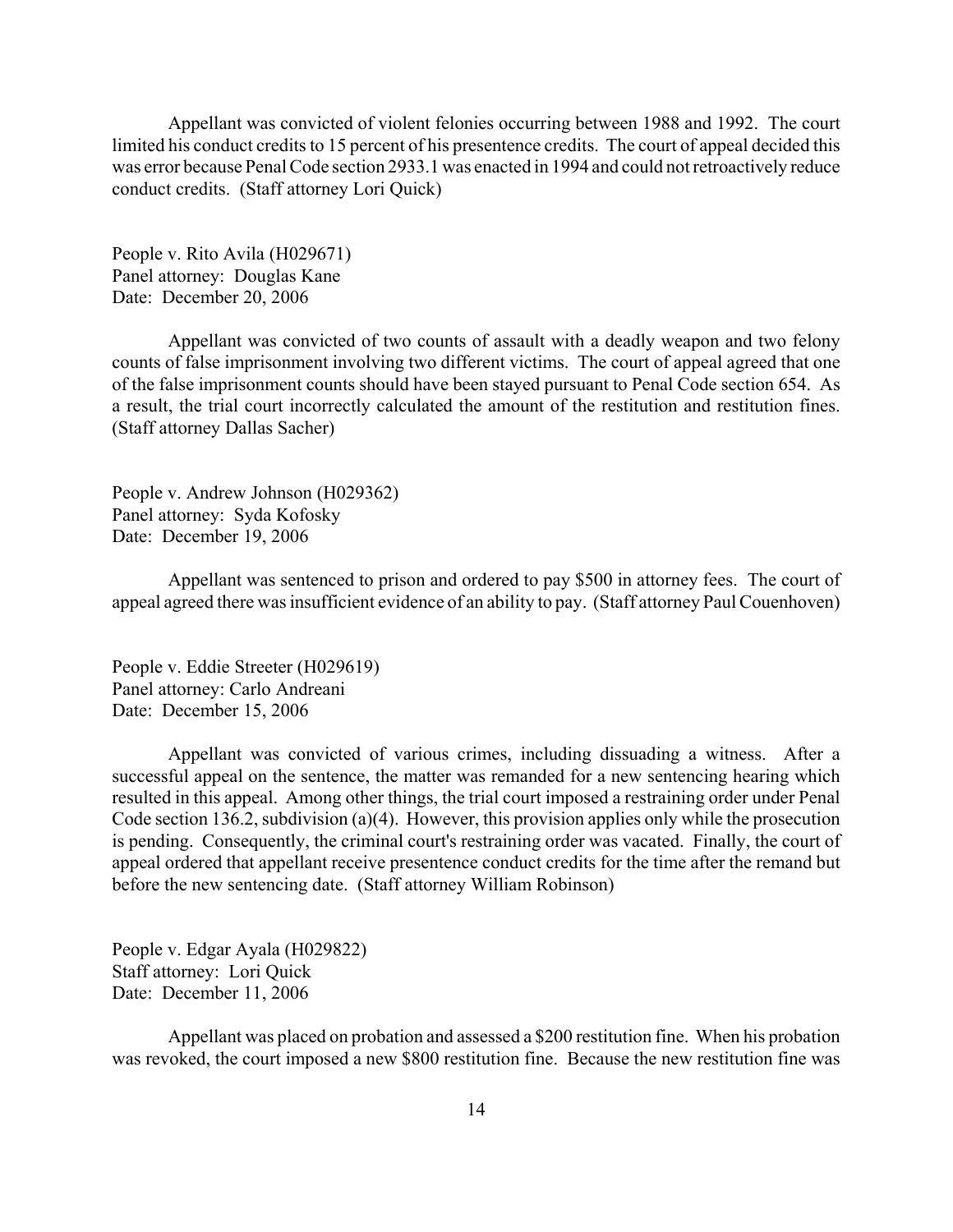Appellant was convicted of violent felonies occurring between 1988 and 1992. The court limited his conduct credits to 15 percent of his presentence credits. The court of appeal decided this was error because Penal Code section 2933.1 was enacted in 1994 and could not retroactively reduce conduct credits. (Staff attorney Lori Quick)

People v. Rito Avila (H029671) Panel attorney: Douglas Kane Date: December 20, 2006

Appellant was convicted of two counts of assault with a deadly weapon and two felony counts of false imprisonment involving two different victims. The court of appeal agreed that one of the false imprisonment counts should have been stayed pursuant to Penal Code section 654. As a result, the trial court incorrectly calculated the amount of the restitution and restitution fines. (Staff attorney Dallas Sacher)

People v. Andrew Johnson (H029362) Panel attorney: Syda Kofosky Date: December 19, 2006

Appellant was sentenced to prison and ordered to pay \$500 in attorney fees. The court of appeal agreed there was insufficient evidence of an ability to pay. (Staff attorney Paul Couenhoven)

People v. Eddie Streeter (H029619) Panel attorney: Carlo Andreani Date: December 15, 2006

Appellant was convicted of various crimes, including dissuading a witness. After a successful appeal on the sentence, the matter was remanded for a new sentencing hearing which resulted in this appeal. Among other things, the trial court imposed a restraining order under Penal Code section 136.2, subdivision (a)(4). However, this provision applies only while the prosecution is pending. Consequently, the criminal court's restraining order was vacated. Finally, the court of appeal ordered that appellant receive presentence conduct credits for the time after the remand but before the new sentencing date. (Staff attorney William Robinson)

People v. Edgar Ayala (H029822) Staff attorney: Lori Quick Date: December 11, 2006

Appellant was placed on probation and assessed a \$200 restitution fine. When his probation was revoked, the court imposed a new \$800 restitution fine. Because the new restitution fine was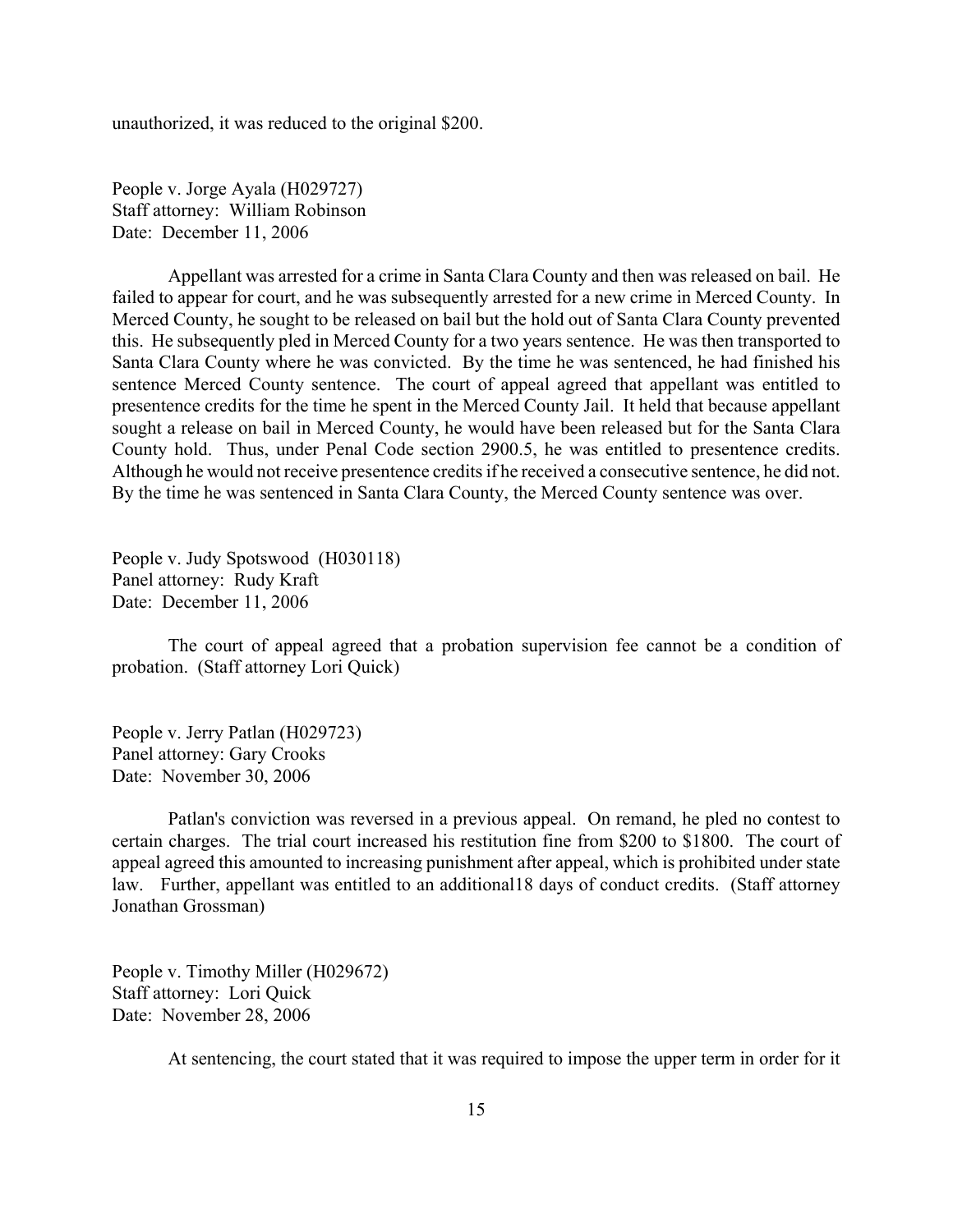unauthorized, it was reduced to the original \$200.

People v. Jorge Ayala (H029727) Staff attorney: William Robinson Date: December 11, 2006

Appellant was arrested for a crime in Santa Clara County and then was released on bail. He failed to appear for court, and he was subsequently arrested for a new crime in Merced County. In Merced County, he sought to be released on bail but the hold out of Santa Clara County prevented this. He subsequently pled in Merced County for a two years sentence. He was then transported to Santa Clara County where he was convicted. By the time he was sentenced, he had finished his sentence Merced County sentence. The court of appeal agreed that appellant was entitled to presentence credits for the time he spent in the Merced County Jail. It held that because appellant sought a release on bail in Merced County, he would have been released but for the Santa Clara County hold. Thus, under Penal Code section 2900.5, he was entitled to presentence credits. Although he would not receive presentence credits if he received a consecutive sentence, he did not. By the time he was sentenced in Santa Clara County, the Merced County sentence was over.

People v. Judy Spotswood (H030118) Panel attorney: Rudy Kraft Date: December 11, 2006

The court of appeal agreed that a probation supervision fee cannot be a condition of probation. (Staff attorney Lori Quick)

People v. Jerry Patlan (H029723) Panel attorney: Gary Crooks Date: November 30, 2006

Patlan's conviction was reversed in a previous appeal. On remand, he pled no contest to certain charges. The trial court increased his restitution fine from \$200 to \$1800. The court of appeal agreed this amounted to increasing punishment after appeal, which is prohibited under state law. Further, appellant was entitled to an additional18 days of conduct credits. (Staff attorney Jonathan Grossman)

People v. Timothy Miller (H029672) Staff attorney: Lori Quick Date: November 28, 2006

At sentencing, the court stated that it was required to impose the upper term in order for it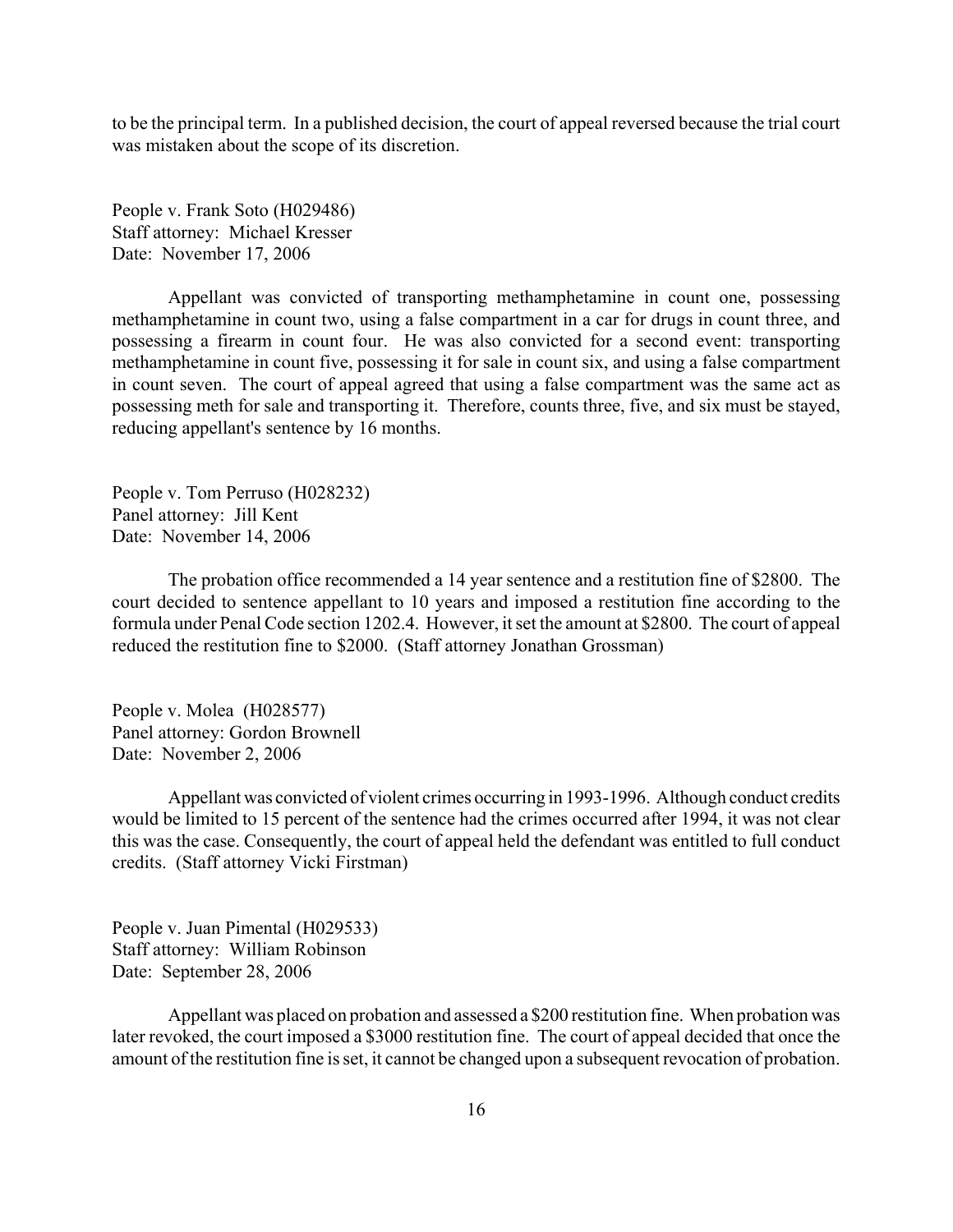to be the principal term. In a published decision, the court of appeal reversed because the trial court was mistaken about the scope of its discretion.

People v. Frank Soto (H029486) Staff attorney: Michael Kresser Date: November 17, 2006

Appellant was convicted of transporting methamphetamine in count one, possessing methamphetamine in count two, using a false compartment in a car for drugs in count three, and possessing a firearm in count four. He was also convicted for a second event: transporting methamphetamine in count five, possessing it for sale in count six, and using a false compartment in count seven. The court of appeal agreed that using a false compartment was the same act as possessing meth for sale and transporting it. Therefore, counts three, five, and six must be stayed, reducing appellant's sentence by 16 months.

People v. Tom Perruso (H028232) Panel attorney: Jill Kent Date: November 14, 2006

The probation office recommended a 14 year sentence and a restitution fine of \$2800. The court decided to sentence appellant to 10 years and imposed a restitution fine according to the formula under Penal Code section 1202.4. However, it set the amount at \$2800. The court of appeal reduced the restitution fine to \$2000. (Staff attorney Jonathan Grossman)

People v. Molea (H028577) Panel attorney: Gordon Brownell Date: November 2, 2006

Appellant was convicted of violent crimes occurring in 1993-1996. Although conduct credits would be limited to 15 percent of the sentence had the crimes occurred after 1994, it was not clear this was the case. Consequently, the court of appeal held the defendant was entitled to full conduct credits. (Staff attorney Vicki Firstman)

People v. Juan Pimental (H029533) Staff attorney: William Robinson Date: September 28, 2006

Appellant was placed on probation and assessed a \$200 restitution fine. When probation was later revoked, the court imposed a \$3000 restitution fine. The court of appeal decided that once the amount of the restitution fine is set, it cannot be changed upon a subsequent revocation of probation.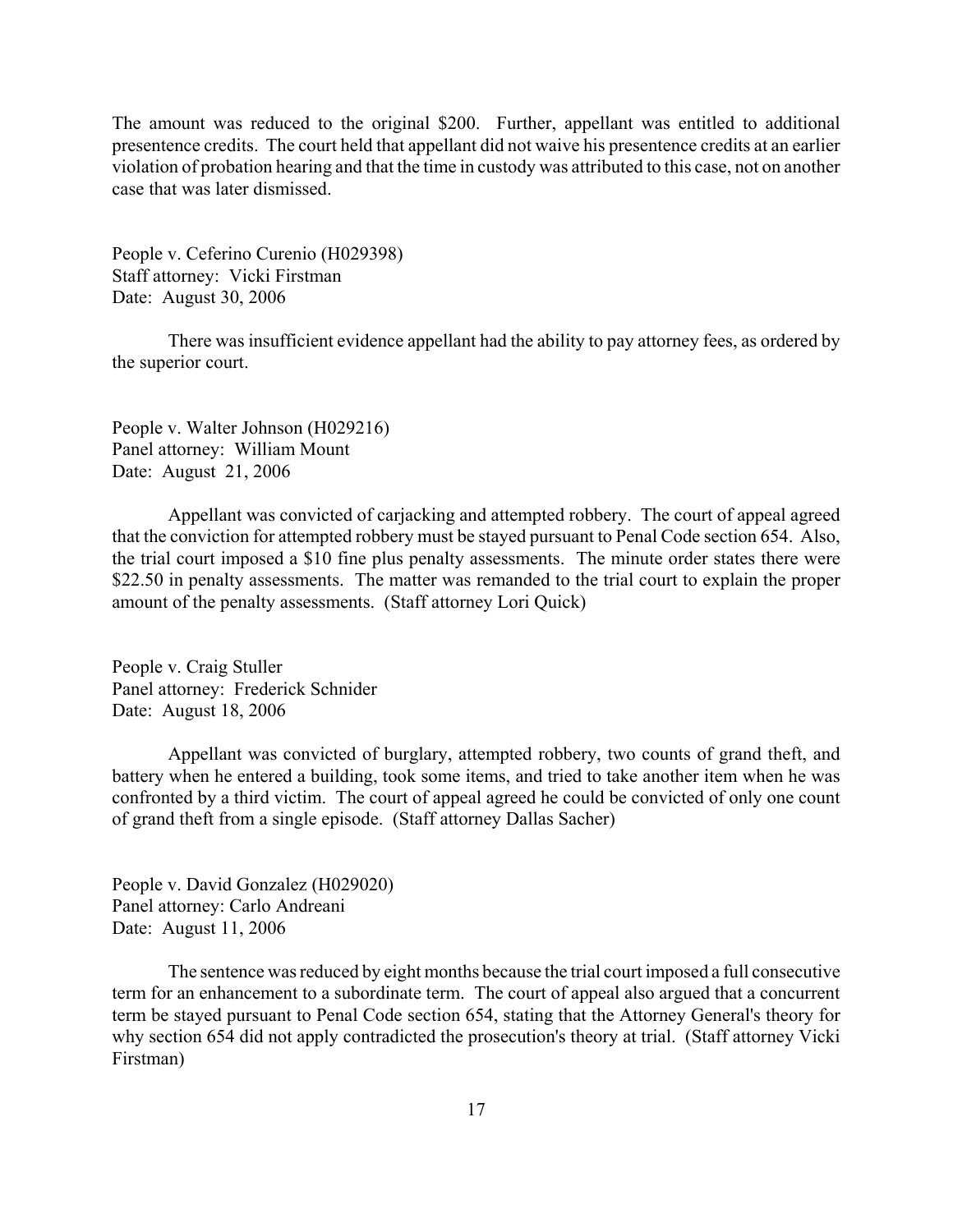The amount was reduced to the original \$200. Further, appellant was entitled to additional presentence credits. The court held that appellant did not waive his presentence credits at an earlier violation of probation hearing and that the time in custody was attributed to this case, not on another case that was later dismissed.

People v. Ceferino Curenio (H029398) Staff attorney: Vicki Firstman Date: August 30, 2006

There was insufficient evidence appellant had the ability to pay attorney fees, as ordered by the superior court.

People v. Walter Johnson (H029216) Panel attorney: William Mount Date: August 21, 2006

Appellant was convicted of carjacking and attempted robbery. The court of appeal agreed that the conviction for attempted robbery must be stayed pursuant to Penal Code section 654. Also, the trial court imposed a \$10 fine plus penalty assessments. The minute order states there were \$22.50 in penalty assessments. The matter was remanded to the trial court to explain the proper amount of the penalty assessments. (Staff attorney Lori Quick)

People v. Craig Stuller Panel attorney: Frederick Schnider Date: August 18, 2006

Appellant was convicted of burglary, attempted robbery, two counts of grand theft, and battery when he entered a building, took some items, and tried to take another item when he was confronted by a third victim. The court of appeal agreed he could be convicted of only one count of grand theft from a single episode. (Staff attorney Dallas Sacher)

People v. David Gonzalez (H029020) Panel attorney: Carlo Andreani Date: August 11, 2006

The sentence was reduced by eight months because the trial court imposed a full consecutive term for an enhancement to a subordinate term. The court of appeal also argued that a concurrent term be stayed pursuant to Penal Code section 654, stating that the Attorney General's theory for why section 654 did not apply contradicted the prosecution's theory at trial. (Staff attorney Vicki Firstman)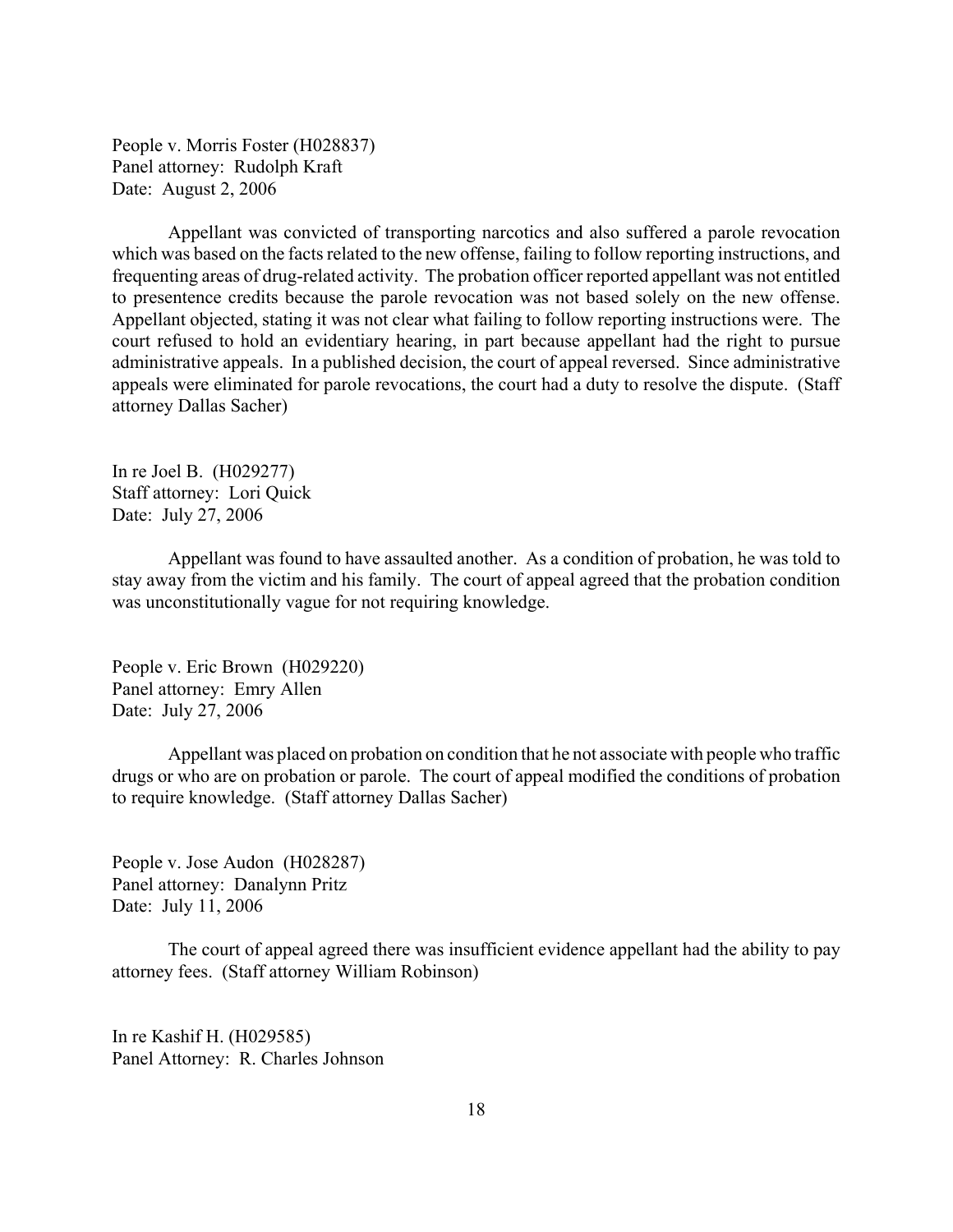People v. Morris Foster (H028837) Panel attorney: Rudolph Kraft Date: August 2, 2006

Appellant was convicted of transporting narcotics and also suffered a parole revocation which was based on the facts related to the new offense, failing to follow reporting instructions, and frequenting areas of drug-related activity. The probation officer reported appellant was not entitled to presentence credits because the parole revocation was not based solely on the new offense. Appellant objected, stating it was not clear what failing to follow reporting instructions were. The court refused to hold an evidentiary hearing, in part because appellant had the right to pursue administrative appeals. In a published decision, the court of appeal reversed. Since administrative appeals were eliminated for parole revocations, the court had a duty to resolve the dispute. (Staff attorney Dallas Sacher)

In re Joel B. (H029277) Staff attorney: Lori Quick Date: July 27, 2006

Appellant was found to have assaulted another. As a condition of probation, he was told to stay away from the victim and his family. The court of appeal agreed that the probation condition was unconstitutionally vague for not requiring knowledge.

People v. Eric Brown (H029220) Panel attorney: Emry Allen Date: July 27, 2006

Appellant was placed on probation on condition that he not associate with people who traffic drugs or who are on probation or parole. The court of appeal modified the conditions of probation to require knowledge. (Staff attorney Dallas Sacher)

People v. Jose Audon (H028287) Panel attorney: Danalynn Pritz Date: July 11, 2006

The court of appeal agreed there was insufficient evidence appellant had the ability to pay attorney fees. (Staff attorney William Robinson)

In re Kashif H. (H029585) Panel Attorney: R. Charles Johnson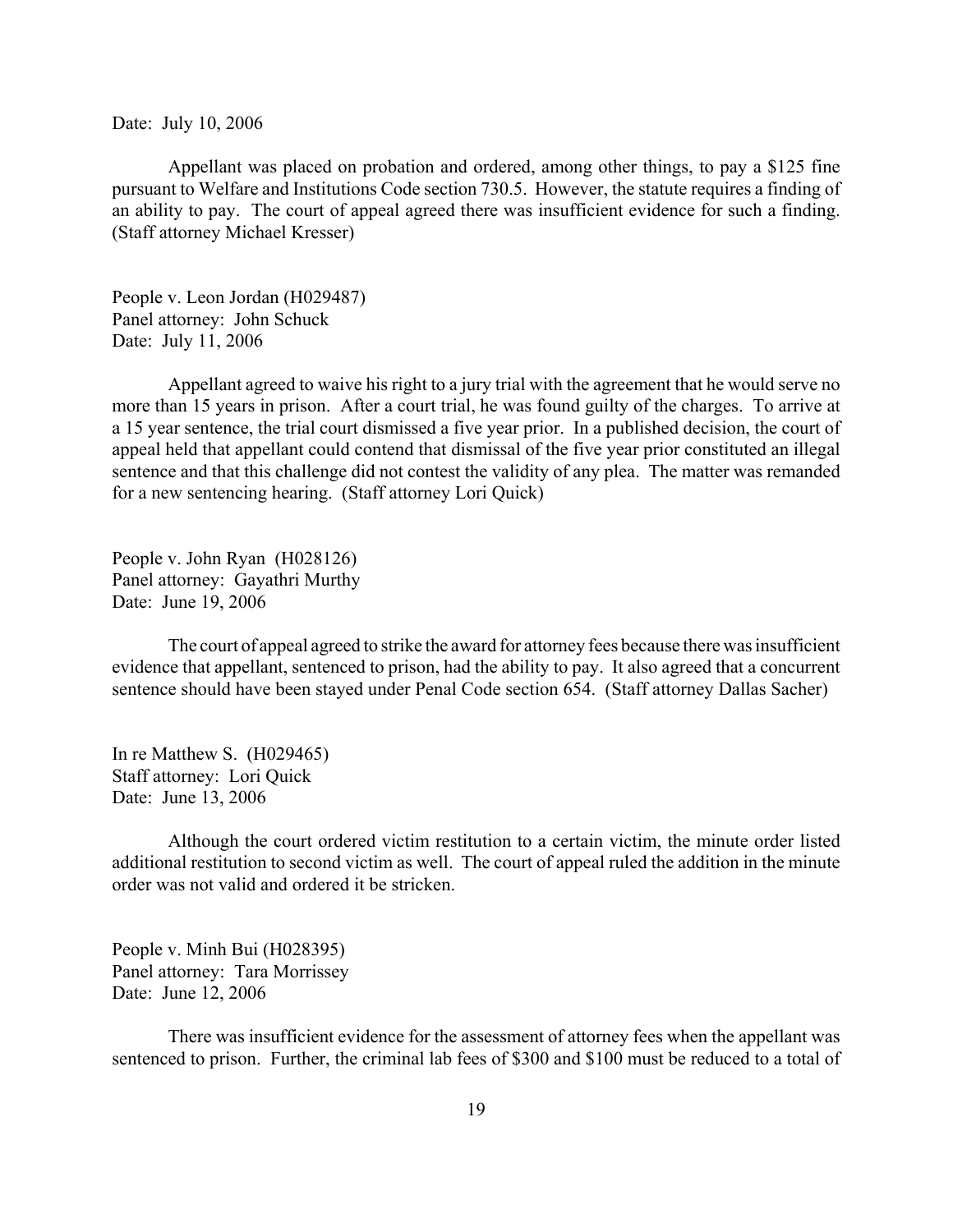Date: July 10, 2006

Appellant was placed on probation and ordered, among other things, to pay a \$125 fine pursuant to Welfare and Institutions Code section 730.5. However, the statute requires a finding of an ability to pay. The court of appeal agreed there was insufficient evidence for such a finding. (Staff attorney Michael Kresser)

People v. Leon Jordan (H029487) Panel attorney: John Schuck Date: July 11, 2006

Appellant agreed to waive his right to a jury trial with the agreement that he would serve no more than 15 years in prison. After a court trial, he was found guilty of the charges. To arrive at a 15 year sentence, the trial court dismissed a five year prior. In a published decision, the court of appeal held that appellant could contend that dismissal of the five year prior constituted an illegal sentence and that this challenge did not contest the validity of any plea. The matter was remanded for a new sentencing hearing. (Staff attorney Lori Quick)

People v. John Ryan (H028126) Panel attorney: Gayathri Murthy Date: June 19, 2006

The court of appeal agreed to strike the award for attorney fees because there was insufficient evidence that appellant, sentenced to prison, had the ability to pay. It also agreed that a concurrent sentence should have been stayed under Penal Code section 654. (Staff attorney Dallas Sacher)

In re Matthew S. (H029465) Staff attorney: Lori Quick Date: June 13, 2006

Although the court ordered victim restitution to a certain victim, the minute order listed additional restitution to second victim as well. The court of appeal ruled the addition in the minute order was not valid and ordered it be stricken.

People v. Minh Bui (H028395) Panel attorney: Tara Morrissey Date: June 12, 2006

There was insufficient evidence for the assessment of attorney fees when the appellant was sentenced to prison. Further, the criminal lab fees of \$300 and \$100 must be reduced to a total of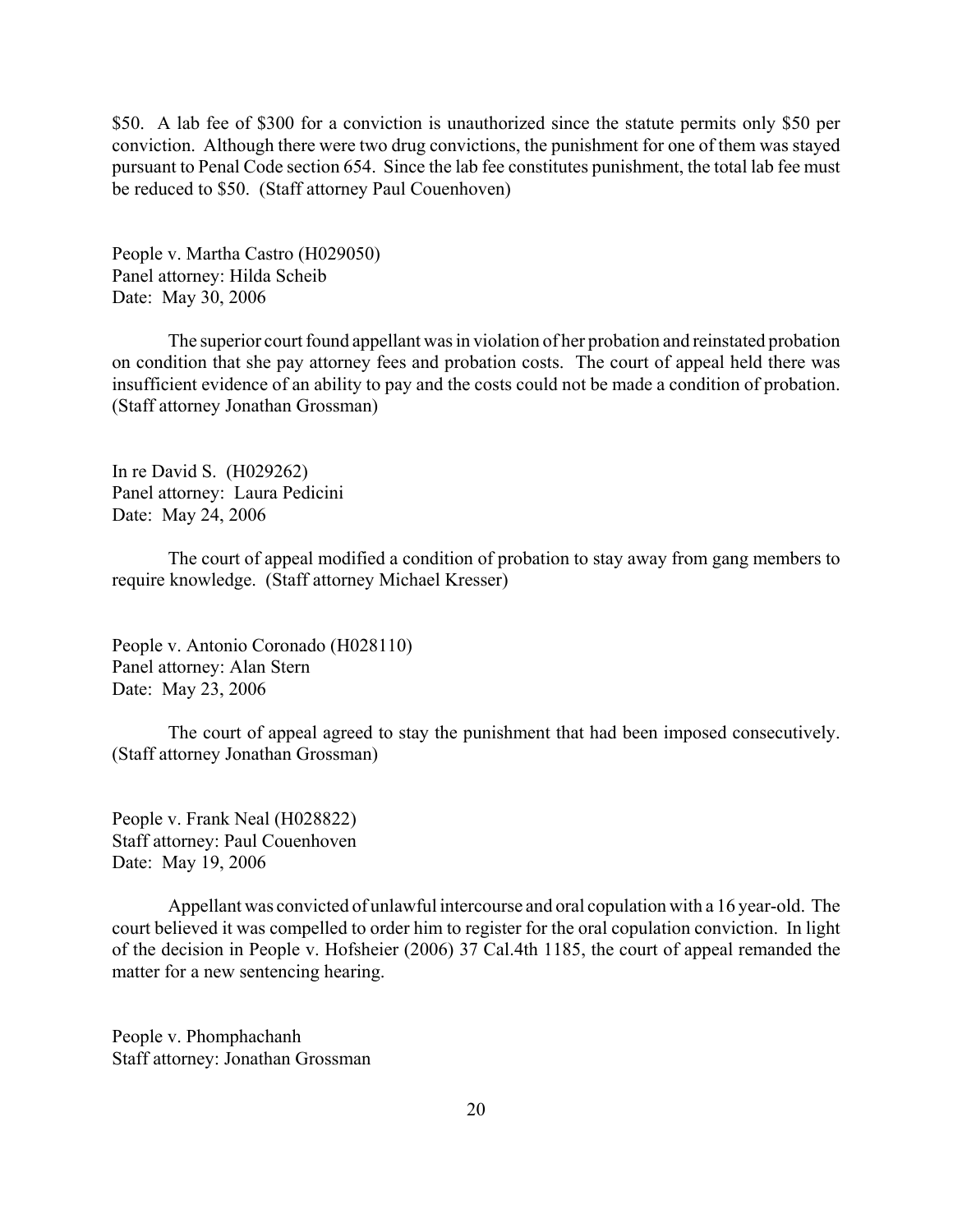\$50. A lab fee of \$300 for a conviction is unauthorized since the statute permits only \$50 per conviction. Although there were two drug convictions, the punishment for one of them was stayed pursuant to Penal Code section 654. Since the lab fee constitutes punishment, the total lab fee must be reduced to \$50. (Staff attorney Paul Couenhoven)

People v. Martha Castro (H029050) Panel attorney: Hilda Scheib Date: May 30, 2006

The superior court found appellant was in violation of her probation and reinstated probation on condition that she pay attorney fees and probation costs. The court of appeal held there was insufficient evidence of an ability to pay and the costs could not be made a condition of probation. (Staff attorney Jonathan Grossman)

In re David S. (H029262) Panel attorney: Laura Pedicini Date: May 24, 2006

The court of appeal modified a condition of probation to stay away from gang members to require knowledge. (Staff attorney Michael Kresser)

People v. Antonio Coronado (H028110) Panel attorney: Alan Stern Date: May 23, 2006

The court of appeal agreed to stay the punishment that had been imposed consecutively. (Staff attorney Jonathan Grossman)

People v. Frank Neal (H028822) Staff attorney: Paul Couenhoven Date: May 19, 2006

Appellant was convicted of unlawful intercourse and oral copulation with a 16 year-old. The court believed it was compelled to order him to register for the oral copulation conviction. In light of the decision in People v. Hofsheier (2006) 37 Cal.4th 1185, the court of appeal remanded the matter for a new sentencing hearing.

People v. Phomphachanh Staff attorney: Jonathan Grossman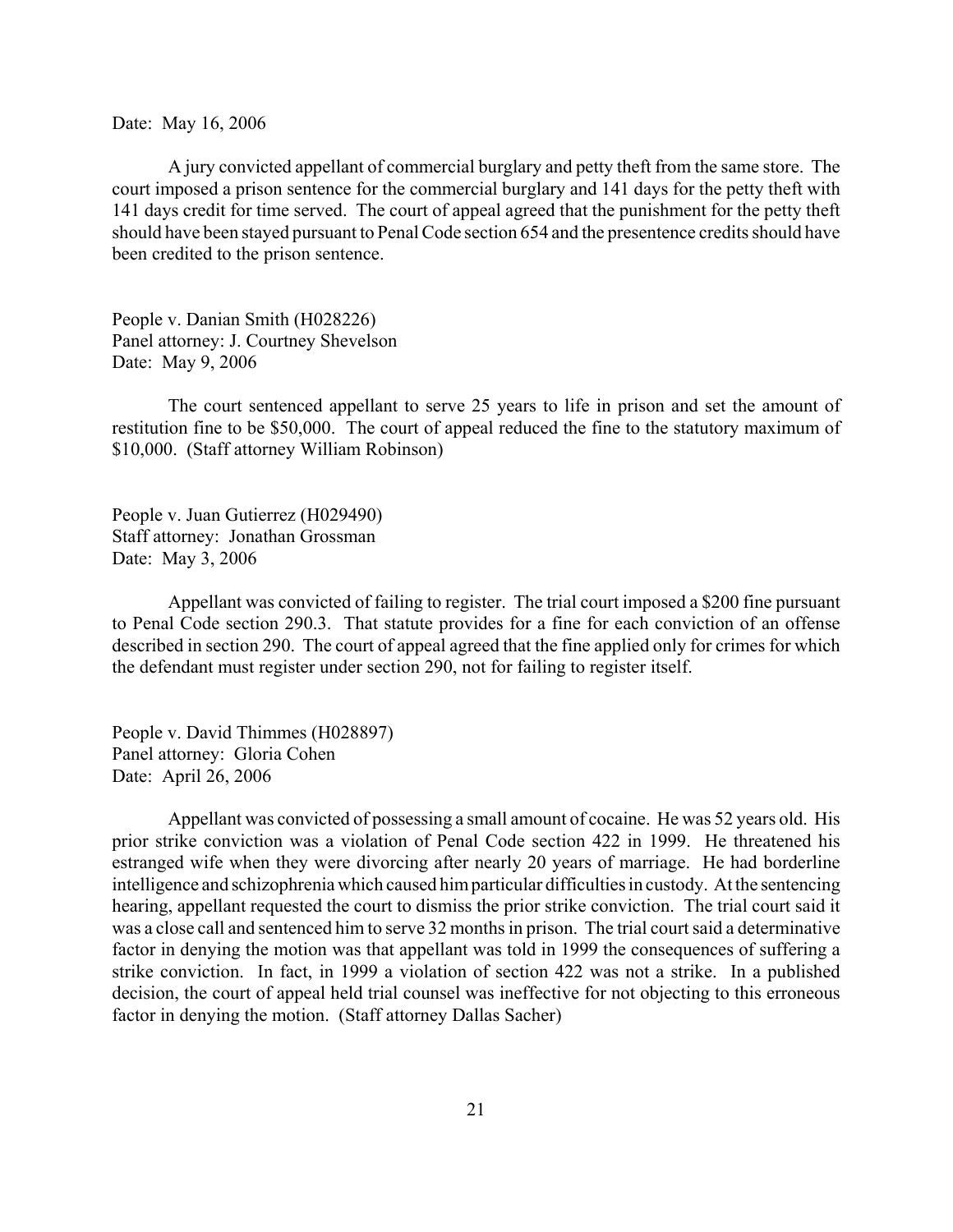Date: May 16, 2006

A jury convicted appellant of commercial burglary and petty theft from the same store. The court imposed a prison sentence for the commercial burglary and 141 days for the petty theft with 141 days credit for time served. The court of appeal agreed that the punishment for the petty theft should have been stayed pursuant to Penal Code section 654 and the presentence credits should have been credited to the prison sentence.

People v. Danian Smith (H028226) Panel attorney: J. Courtney Shevelson Date: May 9, 2006

The court sentenced appellant to serve 25 years to life in prison and set the amount of restitution fine to be \$50,000. The court of appeal reduced the fine to the statutory maximum of \$10,000. (Staff attorney William Robinson)

People v. Juan Gutierrez (H029490) Staff attorney: Jonathan Grossman Date: May 3, 2006

Appellant was convicted of failing to register. The trial court imposed a \$200 fine pursuant to Penal Code section 290.3. That statute provides for a fine for each conviction of an offense described in section 290. The court of appeal agreed that the fine applied only for crimes for which the defendant must register under section 290, not for failing to register itself.

People v. David Thimmes (H028897) Panel attorney: Gloria Cohen Date: April 26, 2006

Appellant was convicted of possessing a small amount of cocaine. He was 52 years old. His prior strike conviction was a violation of Penal Code section 422 in 1999. He threatened his estranged wife when they were divorcing after nearly 20 years of marriage. He had borderline intelligence and schizophrenia which caused him particular difficulties in custody. At the sentencing hearing, appellant requested the court to dismiss the prior strike conviction. The trial court said it was a close call and sentenced him to serve 32 months in prison. The trial court said a determinative factor in denying the motion was that appellant was told in 1999 the consequences of suffering a strike conviction. In fact, in 1999 a violation of section 422 was not a strike. In a published decision, the court of appeal held trial counsel was ineffective for not objecting to this erroneous factor in denying the motion. (Staff attorney Dallas Sacher)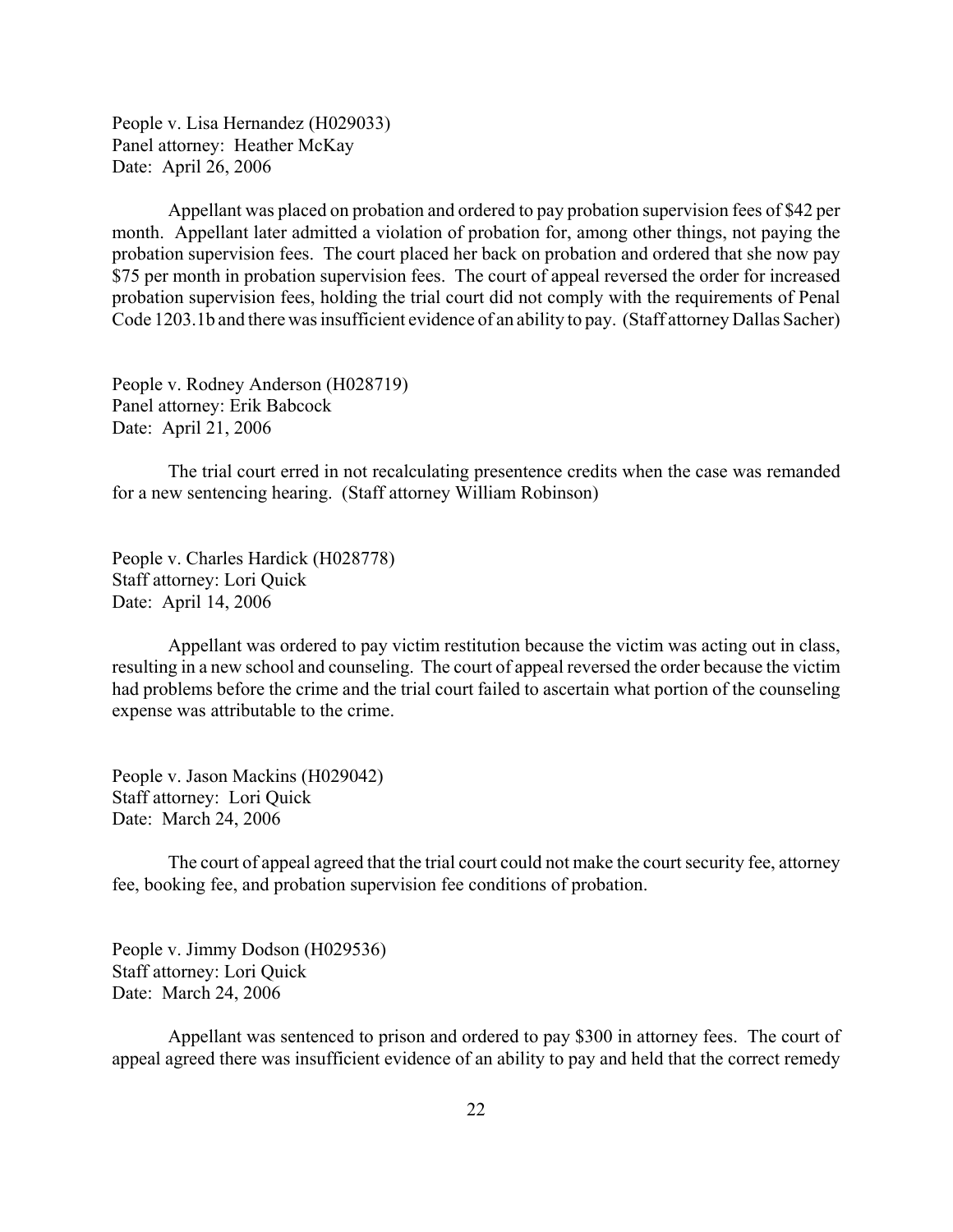People v. Lisa Hernandez (H029033) Panel attorney: Heather McKay Date: April 26, 2006

Appellant was placed on probation and ordered to pay probation supervision fees of \$42 per month. Appellant later admitted a violation of probation for, among other things, not paying the probation supervision fees. The court placed her back on probation and ordered that she now pay \$75 per month in probation supervision fees. The court of appeal reversed the order for increased probation supervision fees, holding the trial court did not comply with the requirements of Penal Code 1203.1b and there was insufficient evidence of an ability to pay. (Staff attorney Dallas Sacher)

People v. Rodney Anderson (H028719) Panel attorney: Erik Babcock Date: April 21, 2006

The trial court erred in not recalculating presentence credits when the case was remanded for a new sentencing hearing. (Staff attorney William Robinson)

People v. Charles Hardick (H028778) Staff attorney: Lori Quick Date: April 14, 2006

Appellant was ordered to pay victim restitution because the victim was acting out in class, resulting in a new school and counseling. The court of appeal reversed the order because the victim had problems before the crime and the trial court failed to ascertain what portion of the counseling expense was attributable to the crime.

People v. Jason Mackins (H029042) Staff attorney: Lori Quick Date: March 24, 2006

The court of appeal agreed that the trial court could not make the court security fee, attorney fee, booking fee, and probation supervision fee conditions of probation.

People v. Jimmy Dodson (H029536) Staff attorney: Lori Quick Date: March 24, 2006

Appellant was sentenced to prison and ordered to pay \$300 in attorney fees. The court of appeal agreed there was insufficient evidence of an ability to pay and held that the correct remedy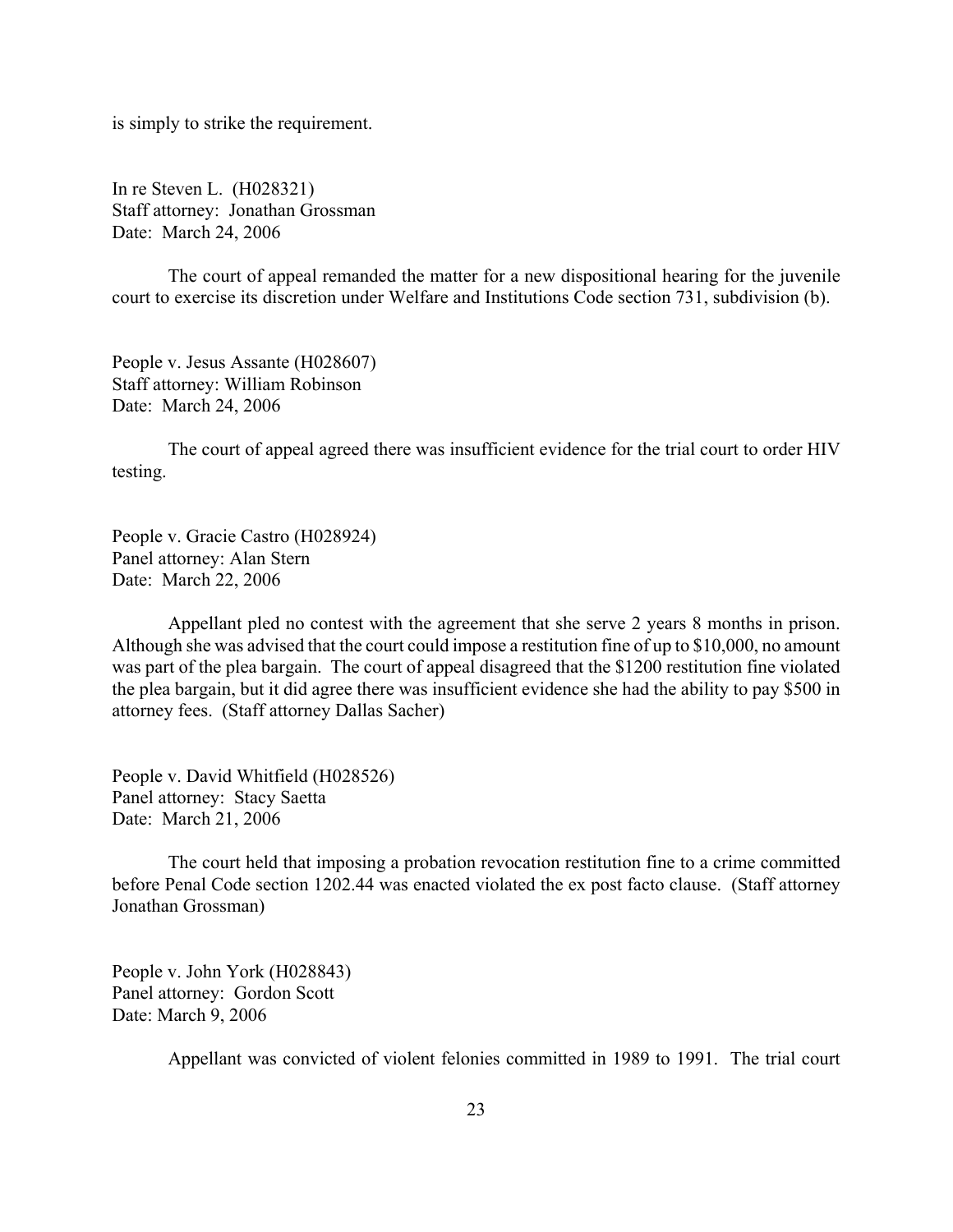is simply to strike the requirement.

In re Steven L. (H028321) Staff attorney: Jonathan Grossman Date: March 24, 2006

The court of appeal remanded the matter for a new dispositional hearing for the juvenile court to exercise its discretion under Welfare and Institutions Code section 731, subdivision (b).

People v. Jesus Assante (H028607) Staff attorney: William Robinson Date: March 24, 2006

The court of appeal agreed there was insufficient evidence for the trial court to order HIV testing.

People v. Gracie Castro (H028924) Panel attorney: Alan Stern Date: March 22, 2006

Appellant pled no contest with the agreement that she serve 2 years 8 months in prison. Although she was advised that the court could impose a restitution fine of up to \$10,000, no amount was part of the plea bargain. The court of appeal disagreed that the \$1200 restitution fine violated the plea bargain, but it did agree there was insufficient evidence she had the ability to pay \$500 in attorney fees. (Staff attorney Dallas Sacher)

People v. David Whitfield (H028526) Panel attorney: Stacy Saetta Date: March 21, 2006

The court held that imposing a probation revocation restitution fine to a crime committed before Penal Code section 1202.44 was enacted violated the ex post facto clause. (Staff attorney Jonathan Grossman)

People v. John York (H028843) Panel attorney: Gordon Scott Date: March 9, 2006

Appellant was convicted of violent felonies committed in 1989 to 1991. The trial court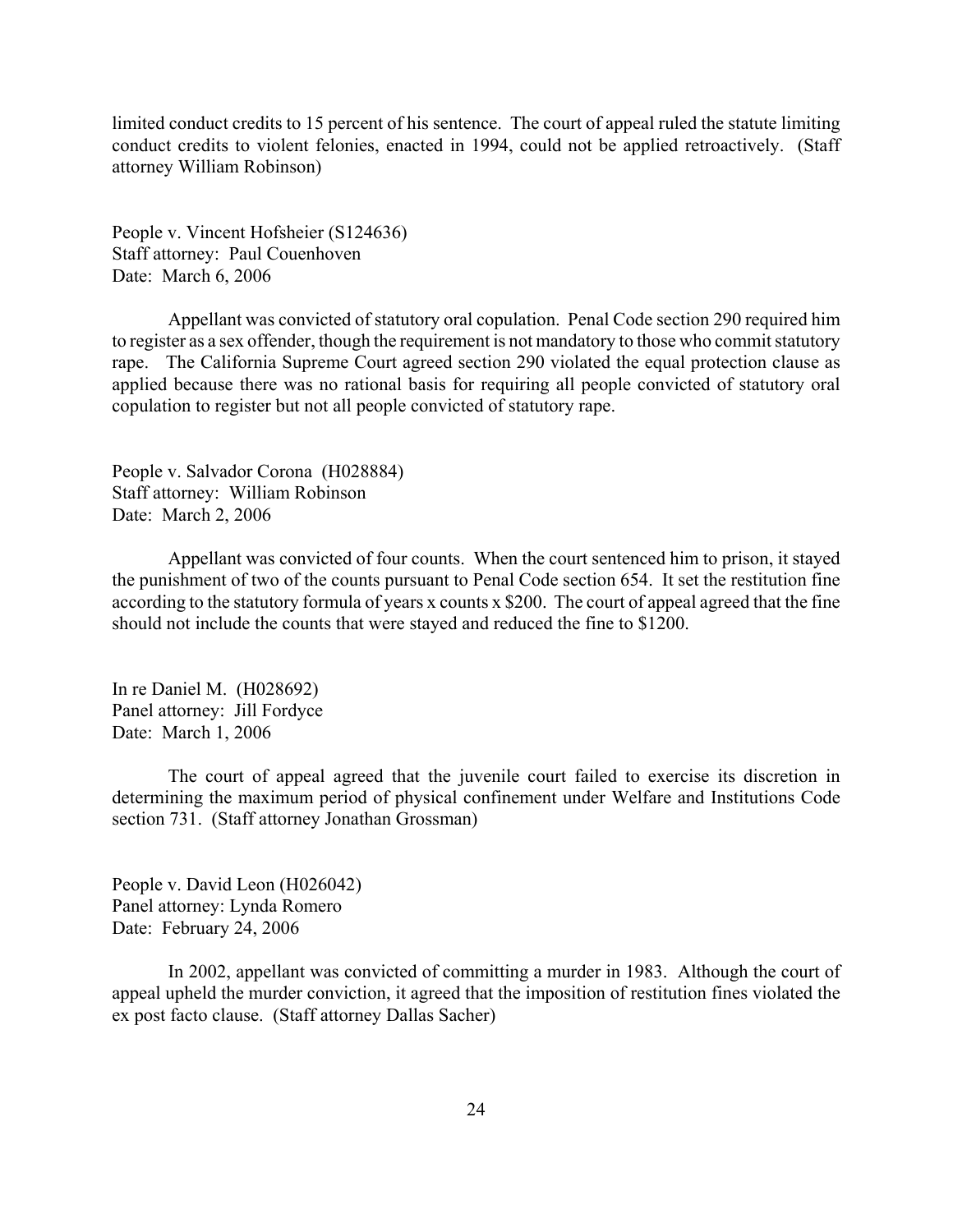limited conduct credits to 15 percent of his sentence. The court of appeal ruled the statute limiting conduct credits to violent felonies, enacted in 1994, could not be applied retroactively. (Staff attorney William Robinson)

People v. Vincent Hofsheier (S124636) Staff attorney: Paul Couenhoven Date: March 6, 2006

Appellant was convicted of statutory oral copulation. Penal Code section 290 required him to register as a sex offender, though the requirement is not mandatory to those who commit statutory rape. The California Supreme Court agreed section 290 violated the equal protection clause as applied because there was no rational basis for requiring all people convicted of statutory oral copulation to register but not all people convicted of statutory rape.

People v. Salvador Corona (H028884) Staff attorney: William Robinson Date: March 2, 2006

Appellant was convicted of four counts. When the court sentenced him to prison, it stayed the punishment of two of the counts pursuant to Penal Code section 654. It set the restitution fine according to the statutory formula of years x counts x \$200. The court of appeal agreed that the fine should not include the counts that were stayed and reduced the fine to \$1200.

In re Daniel M. (H028692) Panel attorney: Jill Fordyce Date: March 1, 2006

The court of appeal agreed that the juvenile court failed to exercise its discretion in determining the maximum period of physical confinement under Welfare and Institutions Code section 731. (Staff attorney Jonathan Grossman)

People v. David Leon (H026042) Panel attorney: Lynda Romero Date: February 24, 2006

In 2002, appellant was convicted of committing a murder in 1983. Although the court of appeal upheld the murder conviction, it agreed that the imposition of restitution fines violated the ex post facto clause. (Staff attorney Dallas Sacher)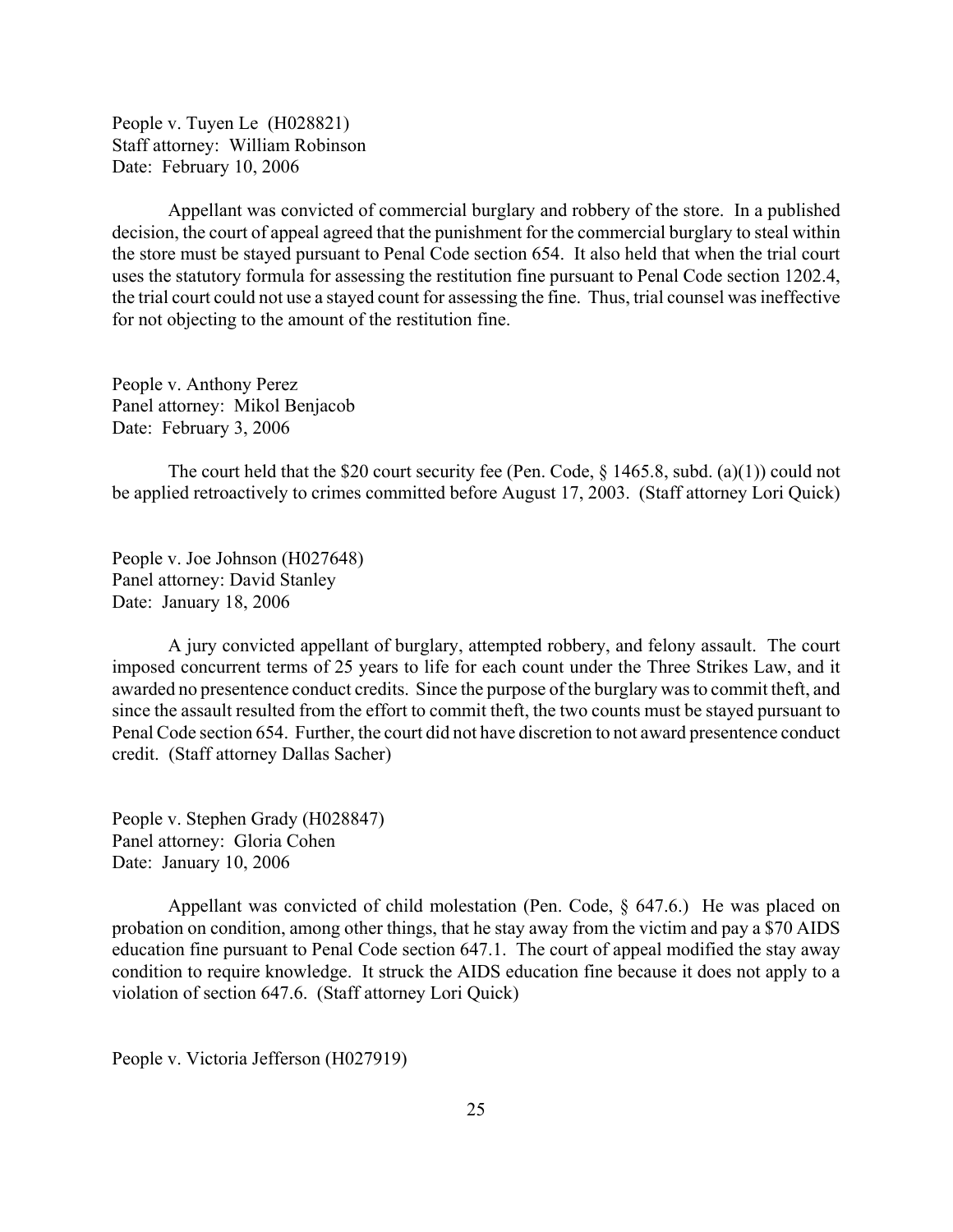People v. Tuyen Le (H028821) Staff attorney: William Robinson Date: February 10, 2006

Appellant was convicted of commercial burglary and robbery of the store. In a published decision, the court of appeal agreed that the punishment for the commercial burglary to steal within the store must be stayed pursuant to Penal Code section 654. It also held that when the trial court uses the statutory formula for assessing the restitution fine pursuant to Penal Code section 1202.4, the trial court could not use a stayed count for assessing the fine. Thus, trial counsel was ineffective for not objecting to the amount of the restitution fine.

People v. Anthony Perez Panel attorney: Mikol Benjacob Date: February 3, 2006

The court held that the \$20 court security fee (Pen. Code,  $\frac{1465.8}{1465.8}$ , subd. (a)(1)) could not be applied retroactively to crimes committed before August 17, 2003. (Staff attorney Lori Quick)

People v. Joe Johnson (H027648) Panel attorney: David Stanley Date: January 18, 2006

A jury convicted appellant of burglary, attempted robbery, and felony assault. The court imposed concurrent terms of 25 years to life for each count under the Three Strikes Law, and it awarded no presentence conduct credits. Since the purpose of the burglary was to commit theft, and since the assault resulted from the effort to commit theft, the two counts must be stayed pursuant to Penal Code section 654. Further, the court did not have discretion to not award presentence conduct credit. (Staff attorney Dallas Sacher)

People v. Stephen Grady (H028847) Panel attorney: Gloria Cohen Date: January 10, 2006

Appellant was convicted of child molestation (Pen. Code, § 647.6.) He was placed on probation on condition, among other things, that he stay away from the victim and pay a \$70 AIDS education fine pursuant to Penal Code section 647.1. The court of appeal modified the stay away condition to require knowledge. It struck the AIDS education fine because it does not apply to a violation of section 647.6. (Staff attorney Lori Quick)

People v. Victoria Jefferson (H027919)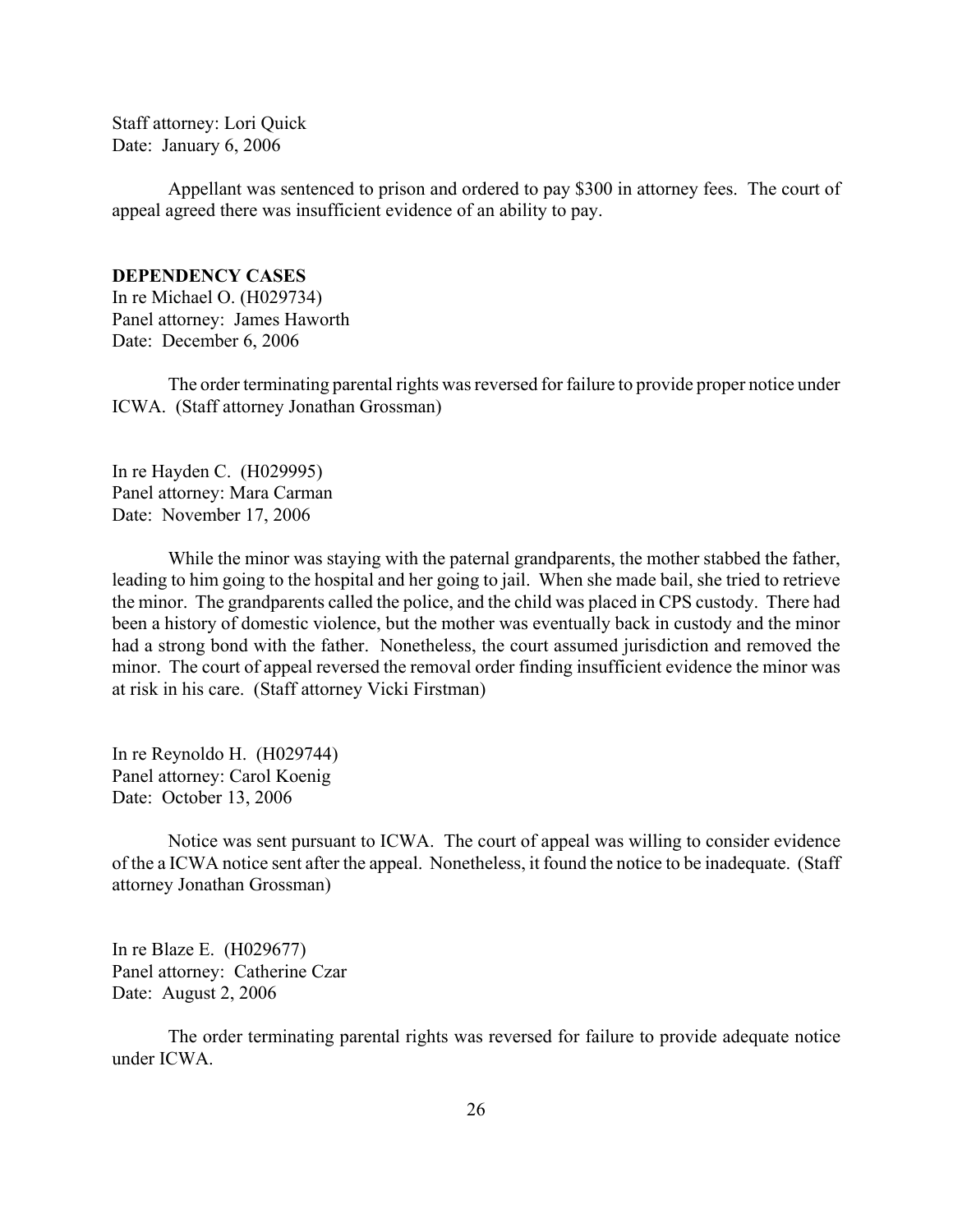<span id="page-25-0"></span>Staff attorney: Lori Quick Date: January 6, 2006

Appellant was sentenced to prison and ordered to pay \$300 in attorney fees. The court of appeal agreed there was insufficient evidence of an ability to pay.

## **DEPENDENCY CASES**

In re Michael O. (H029734) Panel attorney: James Haworth Date: December 6, 2006

The order terminating parental rights was reversed for failure to provide proper notice under ICWA. (Staff attorney Jonathan Grossman)

In re Hayden C. (H029995) Panel attorney: Mara Carman Date: November 17, 2006

While the minor was staying with the paternal grandparents, the mother stabbed the father, leading to him going to the hospital and her going to jail. When she made bail, she tried to retrieve the minor. The grandparents called the police, and the child was placed in CPS custody. There had been a history of domestic violence, but the mother was eventually back in custody and the minor had a strong bond with the father. Nonetheless, the court assumed jurisdiction and removed the minor. The court of appeal reversed the removal order finding insufficient evidence the minor was at risk in his care. (Staff attorney Vicki Firstman)

In re Reynoldo H. (H029744) Panel attorney: Carol Koenig Date: October 13, 2006

Notice was sent pursuant to ICWA. The court of appeal was willing to consider evidence of the a ICWA notice sent after the appeal. Nonetheless, it found the notice to be inadequate. (Staff attorney Jonathan Grossman)

In re Blaze E. (H029677) Panel attorney: Catherine Czar Date: August 2, 2006

The order terminating parental rights was reversed for failure to provide adequate notice under ICWA.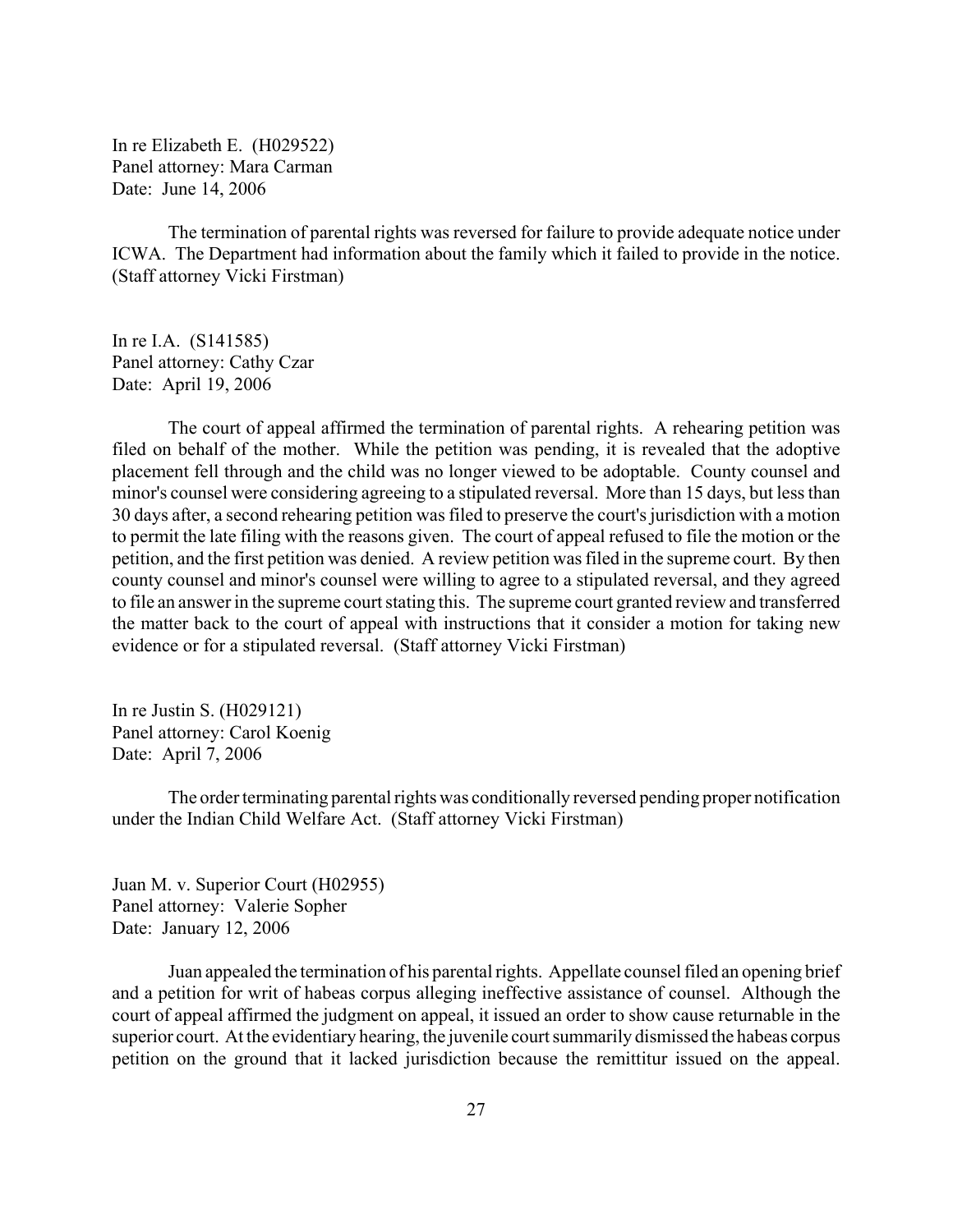In re Elizabeth E. (H029522) Panel attorney: Mara Carman Date: June 14, 2006

The termination of parental rights was reversed for failure to provide adequate notice under ICWA. The Department had information about the family which it failed to provide in the notice. (Staff attorney Vicki Firstman)

In re I.A. (S141585) Panel attorney: Cathy Czar Date: April 19, 2006

The court of appeal affirmed the termination of parental rights. A rehearing petition was filed on behalf of the mother. While the petition was pending, it is revealed that the adoptive placement fell through and the child was no longer viewed to be adoptable. County counsel and minor's counsel were considering agreeing to a stipulated reversal. More than 15 days, but less than 30 days after, a second rehearing petition was filed to preserve the court's jurisdiction with a motion to permit the late filing with the reasons given. The court of appeal refused to file the motion or the petition, and the first petition was denied. A review petition was filed in the supreme court. By then county counsel and minor's counsel were willing to agree to a stipulated reversal, and they agreed to file an answer in the supreme court stating this. The supreme court granted review and transferred the matter back to the court of appeal with instructions that it consider a motion for taking new evidence or for a stipulated reversal. (Staff attorney Vicki Firstman)

In re Justin S. (H029121) Panel attorney: Carol Koenig Date: April 7, 2006

The order terminating parental rights was conditionally reversed pending proper notification under the Indian Child Welfare Act. (Staff attorney Vicki Firstman)

Juan M. v. Superior Court (H02955) Panel attorney: Valerie Sopher Date: January 12, 2006

Juan appealed the termination of his parental rights. Appellate counsel filed an opening brief and a petition for writ of habeas corpus alleging ineffective assistance of counsel. Although the court of appeal affirmed the judgment on appeal, it issued an order to show cause returnable in the superior court. At the evidentiary hearing, the juvenile court summarily dismissed the habeas corpus petition on the ground that it lacked jurisdiction because the remittitur issued on the appeal.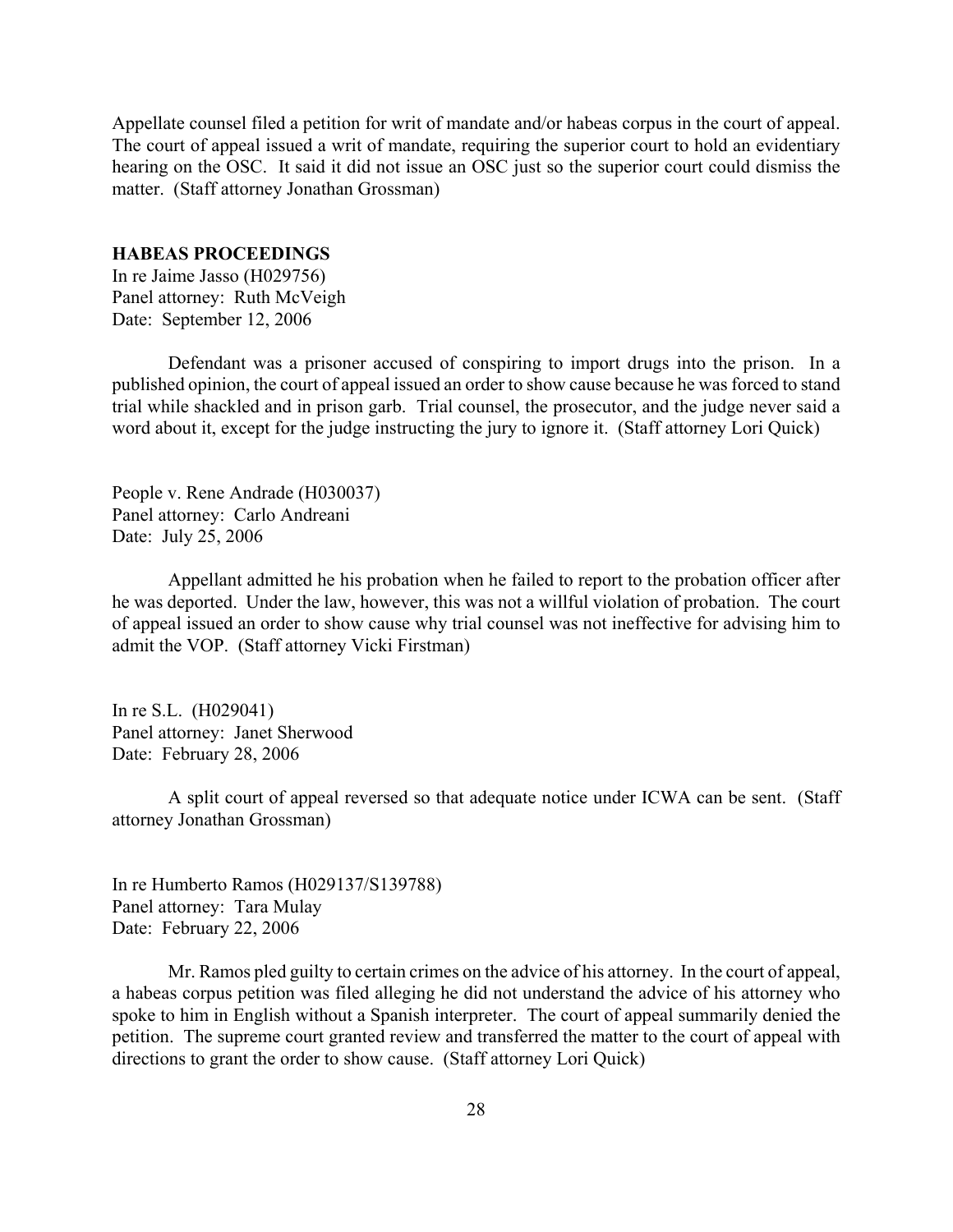<span id="page-27-0"></span>Appellate counsel filed a petition for writ of mandate and/or habeas corpus in the court of appeal. The court of appeal issued a writ of mandate, requiring the superior court to hold an evidentiary hearing on the OSC. It said it did not issue an OSC just so the superior court could dismiss the matter. (Staff attorney Jonathan Grossman)

#### **HABEAS PROCEEDINGS**

In re Jaime Jasso (H029756) Panel attorney: Ruth McVeigh Date: September 12, 2006

Defendant was a prisoner accused of conspiring to import drugs into the prison. In a published opinion, the court of appeal issued an order to show cause because he was forced to stand trial while shackled and in prison garb. Trial counsel, the prosecutor, and the judge never said a word about it, except for the judge instructing the jury to ignore it. (Staff attorney Lori Quick)

People v. Rene Andrade (H030037) Panel attorney: Carlo Andreani Date: July 25, 2006

Appellant admitted he his probation when he failed to report to the probation officer after he was deported. Under the law, however, this was not a willful violation of probation. The court of appeal issued an order to show cause why trial counsel was not ineffective for advising him to admit the VOP. (Staff attorney Vicki Firstman)

In re S.L. (H029041) Panel attorney: Janet Sherwood Date: February 28, 2006

A split court of appeal reversed so that adequate notice under ICWA can be sent. (Staff attorney Jonathan Grossman)

In re Humberto Ramos (H029137/S139788) Panel attorney: Tara Mulay Date: February 22, 2006

Mr. Ramos pled guilty to certain crimes on the advice of his attorney. In the court of appeal, a habeas corpus petition was filed alleging he did not understand the advice of his attorney who spoke to him in English without a Spanish interpreter. The court of appeal summarily denied the petition. The supreme court granted review and transferred the matter to the court of appeal with directions to grant the order to show cause. (Staff attorney Lori Quick)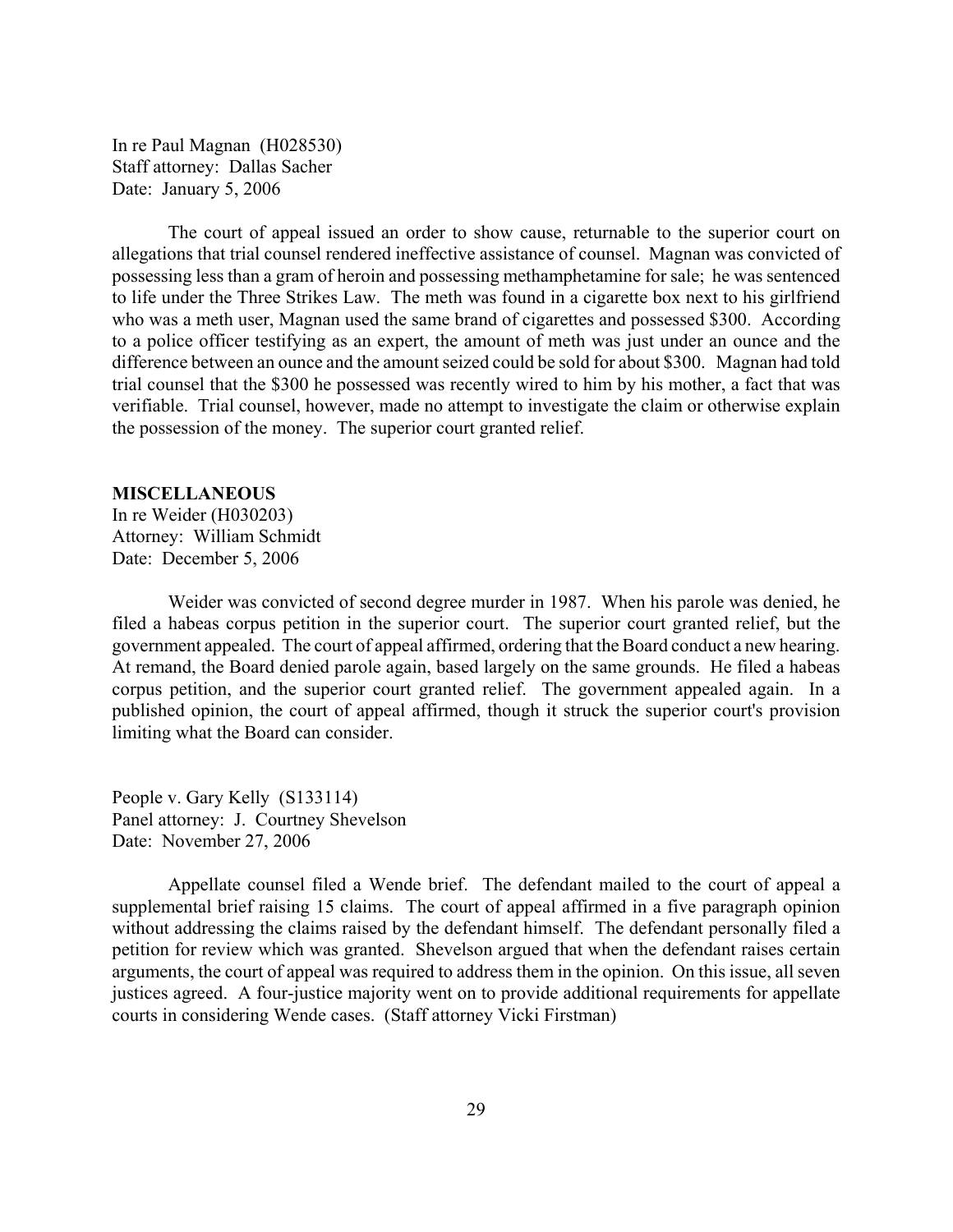<span id="page-28-0"></span>In re Paul Magnan (H028530) Staff attorney: Dallas Sacher Date: January 5, 2006

The court of appeal issued an order to show cause, returnable to the superior court on allegations that trial counsel rendered ineffective assistance of counsel. Magnan was convicted of possessing less than a gram of heroin and possessing methamphetamine for sale; he was sentenced to life under the Three Strikes Law. The meth was found in a cigarette box next to his girlfriend who was a meth user, Magnan used the same brand of cigarettes and possessed \$300. According to a police officer testifying as an expert, the amount of meth was just under an ounce and the difference between an ounce and the amount seized could be sold for about \$300. Magnan had told trial counsel that the \$300 he possessed was recently wired to him by his mother, a fact that was verifiable. Trial counsel, however, made no attempt to investigate the claim or otherwise explain the possession of the money. The superior court granted relief.

### **MISCELLANEOUS**

In re Weider (H030203) Attorney: William Schmidt Date: December 5, 2006

Weider was convicted of second degree murder in 1987. When his parole was denied, he filed a habeas corpus petition in the superior court. The superior court granted relief, but the government appealed. The court of appeal affirmed, ordering that the Board conduct a new hearing. At remand, the Board denied parole again, based largely on the same grounds. He filed a habeas corpus petition, and the superior court granted relief. The government appealed again. In a published opinion, the court of appeal affirmed, though it struck the superior court's provision limiting what the Board can consider.

People v. Gary Kelly (S133114) Panel attorney: J. Courtney Shevelson Date: November 27, 2006

Appellate counsel filed a Wende brief. The defendant mailed to the court of appeal a supplemental brief raising 15 claims. The court of appeal affirmed in a five paragraph opinion without addressing the claims raised by the defendant himself. The defendant personally filed a petition for review which was granted. Shevelson argued that when the defendant raises certain arguments, the court of appeal was required to address them in the opinion. On this issue, all seven justices agreed. A four-justice majority went on to provide additional requirements for appellate courts in considering Wende cases. (Staff attorney Vicki Firstman)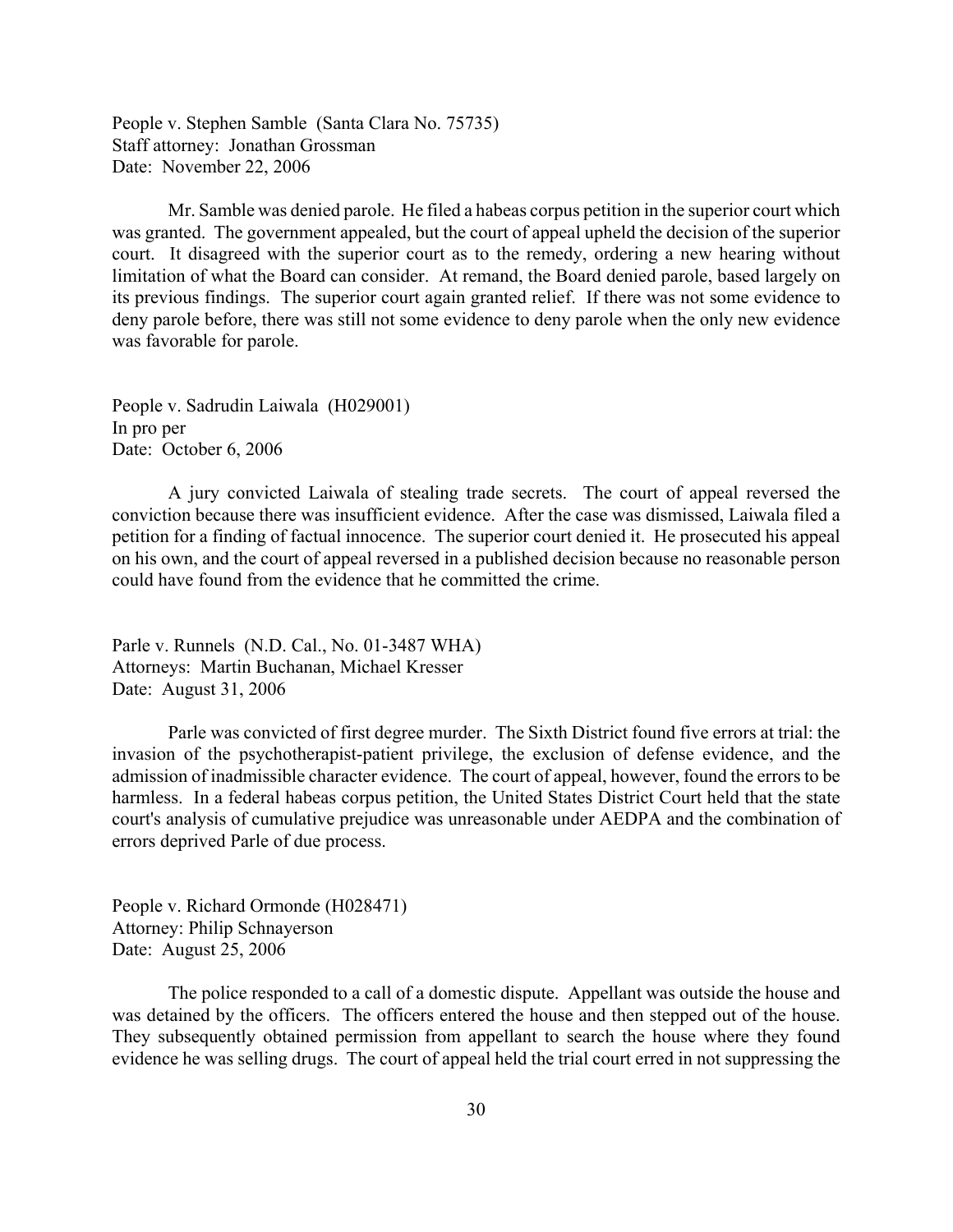People v. Stephen Samble (Santa Clara No. 75735) Staff attorney: Jonathan Grossman Date: November 22, 2006

Mr. Samble was denied parole. He filed a habeas corpus petition in the superior court which was granted. The government appealed, but the court of appeal upheld the decision of the superior court. It disagreed with the superior court as to the remedy, ordering a new hearing without limitation of what the Board can consider. At remand, the Board denied parole, based largely on its previous findings. The superior court again granted relief. If there was not some evidence to deny parole before, there was still not some evidence to deny parole when the only new evidence was favorable for parole.

People v. Sadrudin Laiwala (H029001) In pro per Date: October 6, 2006

A jury convicted Laiwala of stealing trade secrets. The court of appeal reversed the conviction because there was insufficient evidence. After the case was dismissed, Laiwala filed a petition for a finding of factual innocence. The superior court denied it. He prosecuted his appeal on his own, and the court of appeal reversed in a published decision because no reasonable person could have found from the evidence that he committed the crime.

Parle v. Runnels (N.D. Cal., No. 01-3487 WHA) Attorneys: Martin Buchanan, Michael Kresser Date: August 31, 2006

Parle was convicted of first degree murder. The Sixth District found five errors at trial: the invasion of the psychotherapist-patient privilege, the exclusion of defense evidence, and the admission of inadmissible character evidence. The court of appeal, however, found the errors to be harmless. In a federal habeas corpus petition, the United States District Court held that the state court's analysis of cumulative prejudice was unreasonable under AEDPA and the combination of errors deprived Parle of due process.

People v. Richard Ormonde (H028471) Attorney: Philip Schnayerson Date: August 25, 2006

The police responded to a call of a domestic dispute. Appellant was outside the house and was detained by the officers. The officers entered the house and then stepped out of the house. They subsequently obtained permission from appellant to search the house where they found evidence he was selling drugs. The court of appeal held the trial court erred in not suppressing the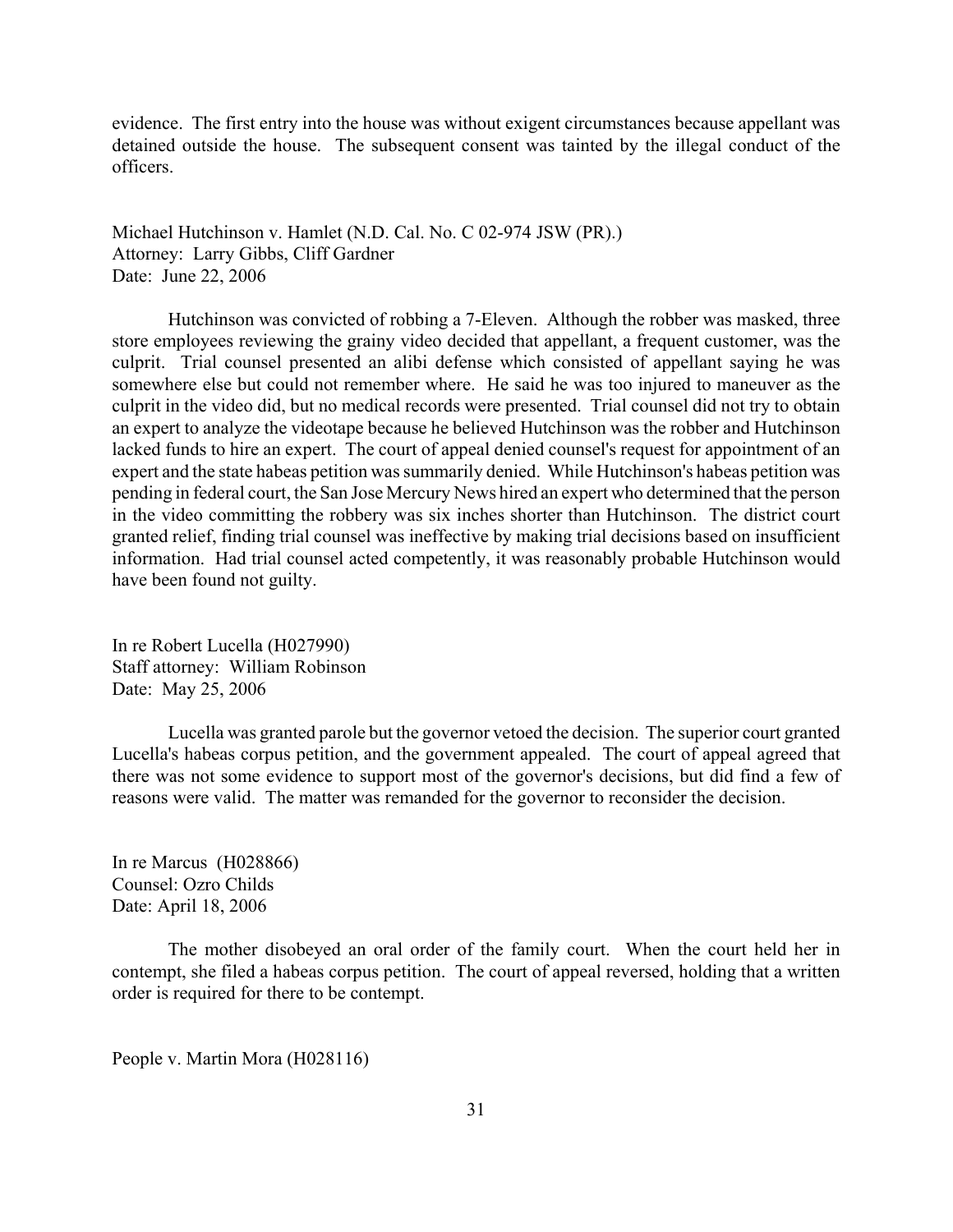evidence. The first entry into the house was without exigent circumstances because appellant was detained outside the house. The subsequent consent was tainted by the illegal conduct of the officers.

Michael Hutchinson v. Hamlet (N.D. Cal. No. C 02-974 JSW (PR).) Attorney: Larry Gibbs, Cliff Gardner Date: June 22, 2006

Hutchinson was convicted of robbing a 7-Eleven. Although the robber was masked, three store employees reviewing the grainy video decided that appellant, a frequent customer, was the culprit. Trial counsel presented an alibi defense which consisted of appellant saying he was somewhere else but could not remember where. He said he was too injured to maneuver as the culprit in the video did, but no medical records were presented. Trial counsel did not try to obtain an expert to analyze the videotape because he believed Hutchinson was the robber and Hutchinson lacked funds to hire an expert. The court of appeal denied counsel's request for appointment of an expert and the state habeas petition was summarily denied. While Hutchinson's habeas petition was pending in federal court, the San Jose Mercury News hired an expert who determined that the person in the video committing the robbery was six inches shorter than Hutchinson. The district court granted relief, finding trial counsel was ineffective by making trial decisions based on insufficient information. Had trial counsel acted competently, it was reasonably probable Hutchinson would have been found not guilty.

In re Robert Lucella (H027990) Staff attorney: William Robinson Date: May 25, 2006

Lucella was granted parole but the governor vetoed the decision. The superior court granted Lucella's habeas corpus petition, and the government appealed. The court of appeal agreed that there was not some evidence to support most of the governor's decisions, but did find a few of reasons were valid. The matter was remanded for the governor to reconsider the decision.

In re Marcus (H028866) Counsel: Ozro Childs Date: April 18, 2006

The mother disobeyed an oral order of the family court. When the court held her in contempt, she filed a habeas corpus petition. The court of appeal reversed, holding that a written order is required for there to be contempt.

People v. Martin Mora (H028116)